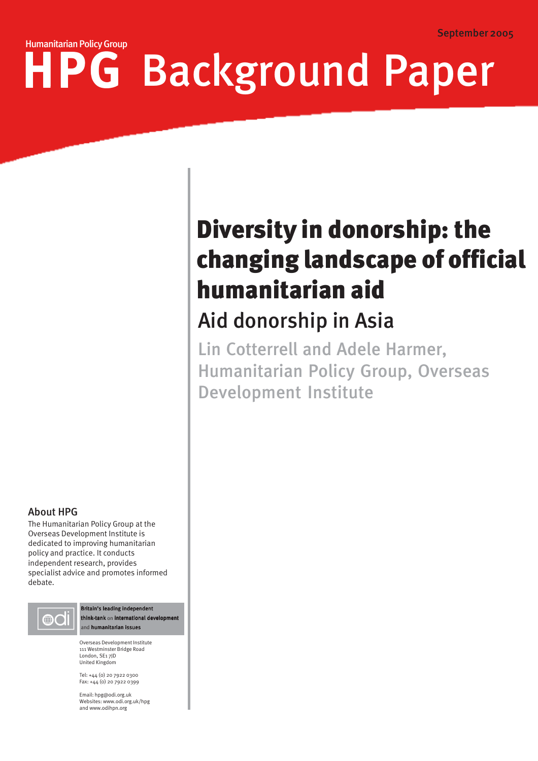# HPG Background PaperHumanitarian Policy Group

# changing landscape of official Diversity in donorship: the humanitarian aid

# Aid donorship in Asia

Lin Cotterrell and Adele Harmer, Humanitarian Policy Group, Overseas Development Institute

# About HPG

The Humanitarian Policy Group at the Overseas Development Institute is dedicated to improving humanitarian policy and practice. It conducts independent research, provides specialist advice and promotes informed debate.



Britain's leading independent think-tank on international developm and humanitarian issues

Overseas Development Institute 111 Westminster Bridge Road London, SE1 7JD United Kingdom

Tel: +44 (0) 20 7922 0300 Fax: +44 (0) 20 7922 0399

Email: hpg@odi.org.uk Websites: www.odi.org.uk/hpg and www.odihpn.org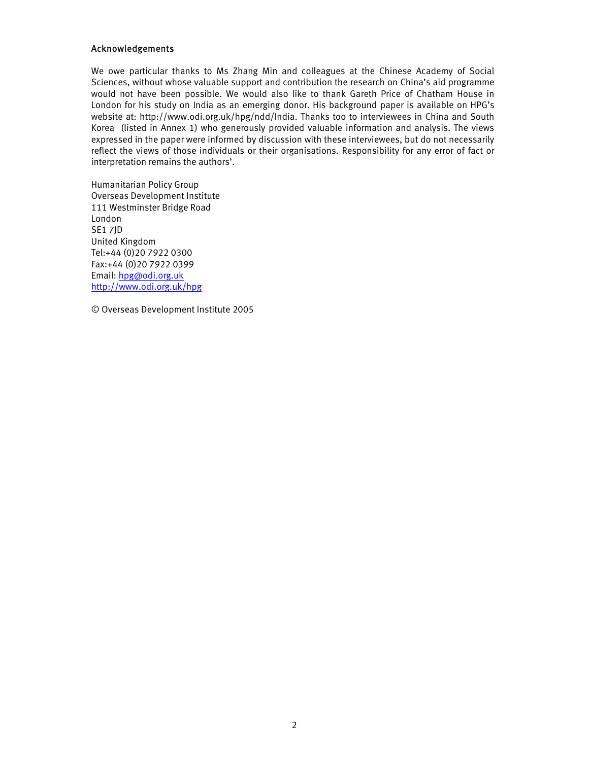#### Acknowledgements

We owe particular thanks to Ms Zhang Min and colleagues at the Chinese Academy of Social Sciences, without whose valuable support and contribution the research on China's aid programme would not have been possible. We would also like to thank Gareth Price of Chatham House in London for his study on India as an emerging donor. His background paper is available on HPG's website at: http://www.odi.org.uk/hpg/ndd/India. Thanks too to interviewees in China and South Korea (listed in Annex 1) who generously provided valuable information and analysis. The views expressed in the paper were informed by discussion with these interviewees, but do not necessarily reflect the views of those individuals or their organisations. Responsibility for any error of fact or interpretation remains the authors'.

Humanitarian Policy Group Overseas Development Institute 111 Westminster Bridge Road London SE1 7JD United Kingdom Tel:+44 (0)20 7922 0300 Fax:+44 (0)20 7922 0399 Email: hpg@odi.org.uk http://www.odi.org.uk/hpg

© Overseas Development Institute 2005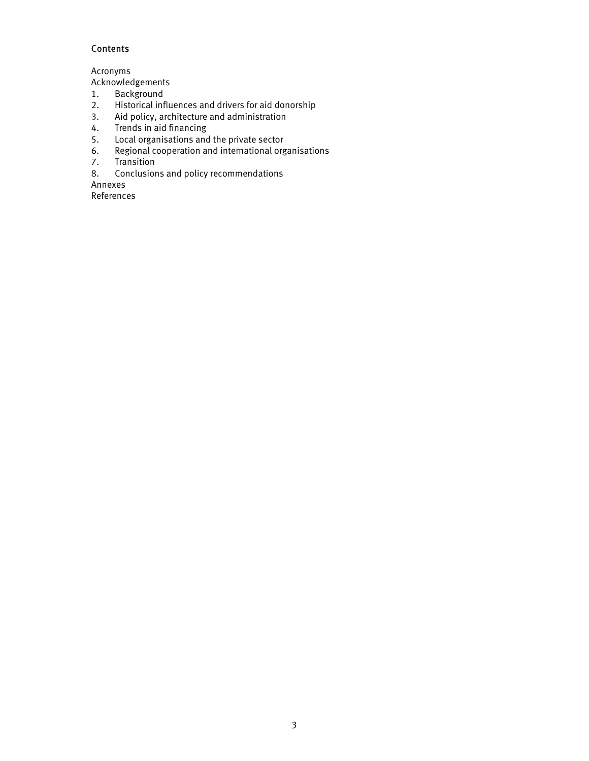# **Contents**

Acronyms

Acknowledgements

- 1. Background
- 2. Historical influences and drivers for aid donorship<br>3. Aid policy, architecture and administration
- Aid policy, architecture and administration
- 4. Trends in aid financing
- 5. Local organisations and the private sector
- 6. Regional cooperation and international organisations
- 7. Transition
- 8. Conclusions and policy recommendations

Annexes

References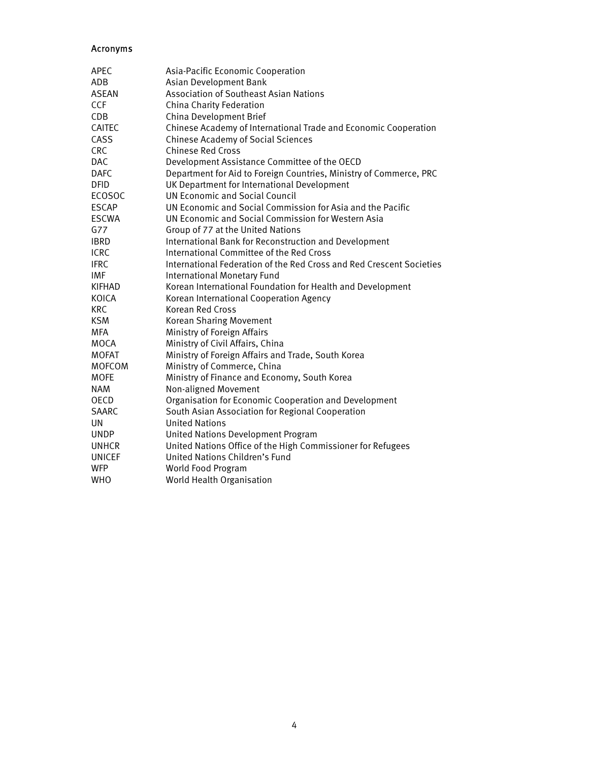# Acronyms

| <b>APEC</b>   | Asia-Pacific Economic Cooperation                                    |
|---------------|----------------------------------------------------------------------|
| ADB           | Asian Development Bank                                               |
| <b>ASEAN</b>  | <b>Association of Southeast Asian Nations</b>                        |
| <b>CCF</b>    | China Charity Federation                                             |
| CDB           | China Development Brief                                              |
| CAITEC        | Chinese Academy of International Trade and Economic Cooperation      |
| CASS          | <b>Chinese Academy of Social Sciences</b>                            |
| <b>CRC</b>    | <b>Chinese Red Cross</b>                                             |
| <b>DAC</b>    | Development Assistance Committee of the OECD                         |
| <b>DAFC</b>   | Department for Aid to Foreign Countries, Ministry of Commerce, PRC   |
| <b>DFID</b>   | UK Department for International Development                          |
| <b>ECOSOC</b> | <b>UN Economic and Social Council</b>                                |
| <b>ESCAP</b>  | UN Economic and Social Commission for Asia and the Pacific           |
| <b>ESCWA</b>  | UN Economic and Social Commission for Western Asia                   |
| G77           | Group of 77 at the United Nations                                    |
| <b>IBRD</b>   | International Bank for Reconstruction and Development                |
| <b>ICRC</b>   | International Committee of the Red Cross                             |
| <b>IFRC</b>   | International Federation of the Red Cross and Red Crescent Societies |
| IMF           | <b>International Monetary Fund</b>                                   |
| <b>KIFHAD</b> | Korean International Foundation for Health and Development           |
| KOICA         | Korean International Cooperation Agency                              |
| <b>KRC</b>    | Korean Red Cross                                                     |
| <b>KSM</b>    | Korean Sharing Movement                                              |
| MFA           | Ministry of Foreign Affairs                                          |
| <b>MOCA</b>   | Ministry of Civil Affairs, China                                     |
| <b>MOFAT</b>  | Ministry of Foreign Affairs and Trade, South Korea                   |
| <b>MOFCOM</b> | Ministry of Commerce, China                                          |
| <b>MOFE</b>   | Ministry of Finance and Economy, South Korea                         |
| <b>NAM</b>    | Non-aligned Movement                                                 |
| <b>OECD</b>   | Organisation for Economic Cooperation and Development                |
| <b>SAARC</b>  | South Asian Association for Regional Cooperation                     |
| UN            | <b>United Nations</b>                                                |
| <b>UNDP</b>   | United Nations Development Program                                   |
| <b>UNHCR</b>  | United Nations Office of the High Commissioner for Refugees          |
| <b>UNICEF</b> | United Nations Children's Fund                                       |
| <b>WFP</b>    | World Food Program                                                   |
| <b>WHO</b>    | World Health Organisation                                            |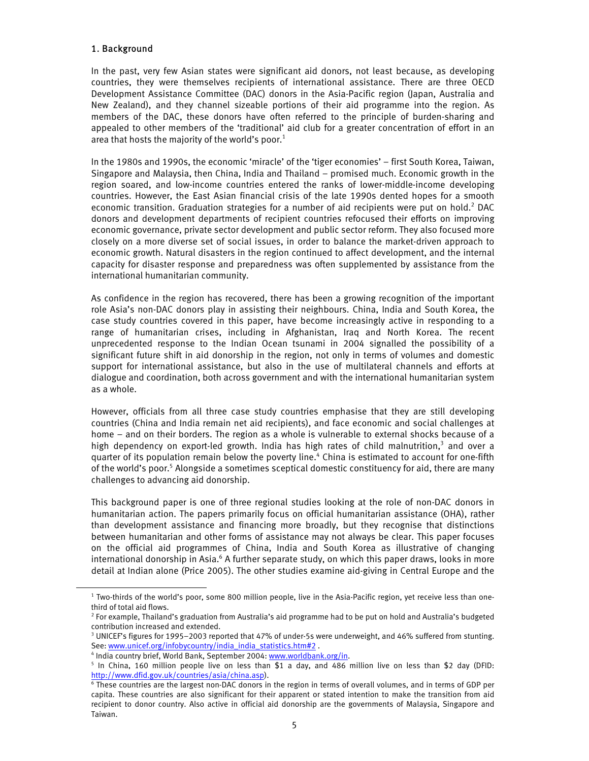# 1. Background

l

In the past, very few Asian states were significant aid donors, not least because, as developing countries, they were themselves recipients of international assistance. There are three OECD Development Assistance Committee (DAC) donors in the Asia-Pacific region (Japan, Australia and New Zealand), and they channel sizeable portions of their aid programme into the region. As members of the DAC, these donors have often referred to the principle of burden-sharing and appealed to other members of the 'traditional' aid club for a greater concentration of effort in an area that hosts the majority of the world's poor.<sup>1</sup>

In the 1980s and 1990s, the economic 'miracle' of the 'tiger economies' – first South Korea, Taiwan, Singapore and Malaysia, then China, India and Thailand – promised much. Economic growth in the region soared, and low-income countries entered the ranks of lower-middle-income developing countries. However, the East Asian financial crisis of the late 1990s dented hopes for a smooth economic transition. Graduation strategies for a number of aid recipients were put on hold.<sup>2</sup> DAC donors and development departments of recipient countries refocused their efforts on improving economic governance, private sector development and public sector reform. They also focused more closely on a more diverse set of social issues, in order to balance the market-driven approach to economic growth. Natural disasters in the region continued to affect development, and the internal capacity for disaster response and preparedness was often supplemented by assistance from the international humanitarian community.

As confidence in the region has recovered, there has been a growing recognition of the important role Asia's non-DAC donors play in assisting their neighbours. China, India and South Korea, the case study countries covered in this paper, have become increasingly active in responding to a range of humanitarian crises, including in Afghanistan, Iraq and North Korea. The recent unprecedented response to the Indian Ocean tsunami in 2004 signalled the possibility of a significant future shift in aid donorship in the region, not only in terms of volumes and domestic support for international assistance, but also in the use of multilateral channels and efforts at dialogue and coordination, both across government and with the international humanitarian system as a whole.

However, officials from all three case study countries emphasise that they are still developing countries (China and India remain net aid recipients), and face economic and social challenges at home – and on their borders. The region as a whole is vulnerable to external shocks because of a high dependency on export-led growth. India has high rates of child malnutrition,<sup>3</sup> and over a quarter of its population remain below the poverty line.<sup>4</sup> China is estimated to account for one-fifth of the world's poor.<sup>5</sup> Alongside a sometimes sceptical domestic constituency for aid, there are many challenges to advancing aid donorship.

This background paper is one of three regional studies looking at the role of non-DAC donors in humanitarian action. The papers primarily focus on official humanitarian assistance (OHA), rather than development assistance and financing more broadly, but they recognise that distinctions between humanitarian and other forms of assistance may not always be clear. This paper focuses on the official aid programmes of China, India and South Korea as illustrative of changing international donorship in Asia.<sup>6</sup> A further separate study, on which this paper draws, looks in more detail at Indian alone (Price 2005). The other studies examine aid-giving in Central Europe and the

<sup>&</sup>lt;sup>1</sup> Two-thirds of the world's poor, some 800 million people, live in the Asia-Pacific region, yet receive less than onethird of total aid flows.

<sup>2</sup> For example, Thailand's graduation from Australia's aid programme had to be put on hold and Australia's budgeted contribution increased and extended.

<sup>&</sup>lt;sup>3</sup> UNICEF's figures for 1995-2003 reported that 47% of under-5s were underweight, and 46% suffered from stunting. See: www.unicef.org/infobycountry/india\_india\_statistics.htm#2.

<sup>&</sup>lt;sup>4</sup> India country brief, World Bank, September 2004: www.worldbank.org/in.

 $5$  In China, 160 million people live on less than \$1 a day, and 486 million live on less than \$2 day (DFID: http://www.dfid.gov.uk/countries/asia/china.asp).

<sup>6</sup> These countries are the largest non-DAC donors in the region in terms of overall volumes, and in terms of GDP per capita. These countries are also significant for their apparent or stated intention to make the transition from aid recipient to donor country. Also active in official aid donorship are the governments of Malaysia, Singapore and Taiwan.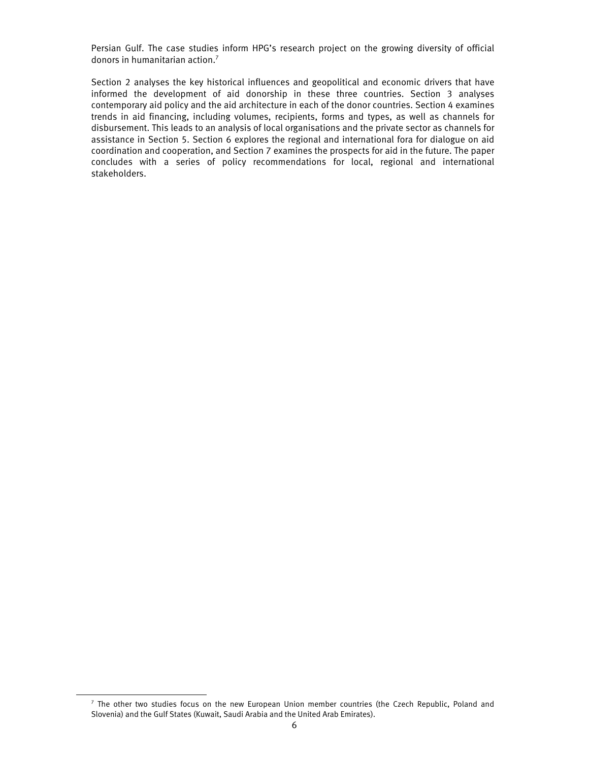Persian Gulf. The case studies inform HPG's research project on the growing diversity of official donors in humanitarian action.7

Section 2 analyses the key historical influences and geopolitical and economic drivers that have informed the development of aid donorship in these three countries. Section 3 analyses contemporary aid policy and the aid architecture in each of the donor countries. Section 4 examines trends in aid financing, including volumes, recipients, forms and types, as well as channels for disbursement. This leads to an analysis of local organisations and the private sector as channels for assistance in Section 5. Section 6 explores the regional and international fora for dialogue on aid coordination and cooperation, and Section 7 examines the prospects for aid in the future. The paper concludes with a series of policy recommendations for local, regional and international stakeholders.

<sup>&</sup>lt;sup>7</sup> The other two studies focus on the new European Union member countries (the Czech Republic, Poland and Slovenia) and the Gulf States (Kuwait, Saudi Arabia and the United Arab Emirates).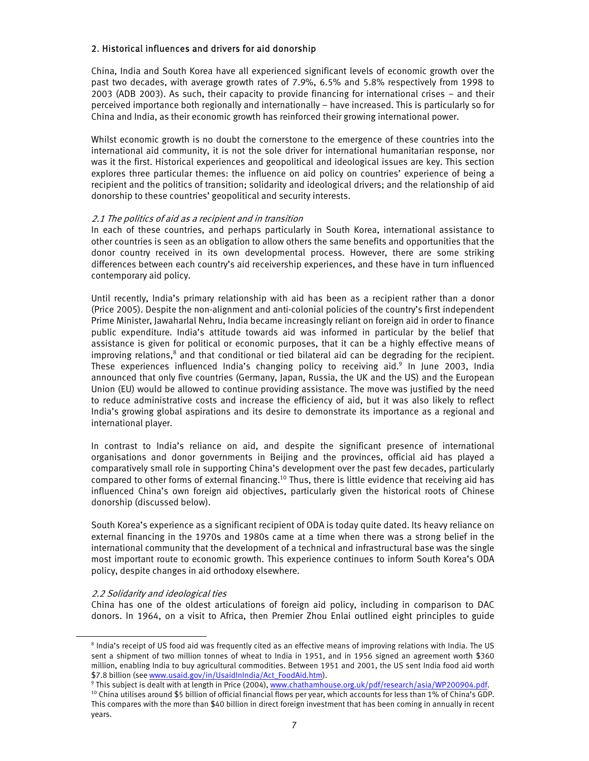# 2. Historical influences and drivers for aid donorship

China, India and South Korea have all experienced significant levels of economic growth over the past two decades, with average growth rates of 7.9%, 6.5% and 5.8% respectively from 1998 to 2003 (ADB 2003). As such, their capacity to provide financing for international crises – and their perceived importance both regionally and internationally – have increased. This is particularly so for China and India, as their economic growth has reinforced their growing international power.

Whilst economic growth is no doubt the cornerstone to the emergence of these countries into the international aid community, it is not the sole driver for international humanitarian response, nor was it the first. Historical experiences and geopolitical and ideological issues are key. This section explores three particular themes: the influence on aid policy on countries' experience of being a recipient and the politics of transition; solidarity and ideological drivers; and the relationship of aid donorship to these countries' geopolitical and security interests.

#### 2.1 The politics of aid as a recipient and in transition

In each of these countries, and perhaps particularly in South Korea, international assistance to other countries is seen as an obligation to allow others the same benefits and opportunities that the donor country received in its own developmental process. However, there are some striking differences between each country's aid receivership experiences, and these have in turn influenced contemporary aid policy.

Until recently, India's primary relationship with aid has been as a recipient rather than a donor (Price 2005). Despite the non-alignment and anti-colonial policies of the country's first independent Prime Minister, Jawaharlal Nehru, India became increasingly reliant on foreign aid in order to finance public expenditure. India's attitude towards aid was informed in particular by the belief that assistance is given for political or economic purposes, that it can be a highly effective means of improving relations,<sup>8</sup> and that conditional or tied bilateral aid can be degrading for the recipient. These experiences influenced India's changing policy to receiving aid.<sup>9</sup> In June 2003, India announced that only five countries (Germany, Japan, Russia, the UK and the US) and the European Union (EU) would be allowed to continue providing assistance. The move was justified by the need to reduce administrative costs and increase the efficiency of aid, but it was also likely to reflect India's growing global aspirations and its desire to demonstrate its importance as a regional and international player.

In contrast to India's reliance on aid, and despite the significant presence of international organisations and donor governments in Beijing and the provinces, official aid has played a comparatively small role in supporting China's development over the past few decades, particularly compared to other forms of external financing.<sup>10</sup> Thus, there is little evidence that receiving aid has influenced China's own foreign aid objectives, particularly given the historical roots of Chinese donorship (discussed below).

South Korea's experience as a significant recipient of ODA is today quite dated. Its heavy reliance on external financing in the 1970s and 1980s came at a time when there was a strong belief in the international community that the development of a technical and infrastructural base was the single most important route to economic growth. This experience continues to inform South Korea's ODA policy, despite changes in aid orthodoxy elsewhere.

#### 2.2 Solidarity and ideological ties

l

China has one of the oldest articulations of foreign aid policy, including in comparison to DAC donors. In 1964, on a visit to Africa, then Premier Zhou Enlai outlined eight principles to guide

<sup>&</sup>lt;sup>8</sup> India's receipt of US food aid was frequently cited as an effective means of improving relations with India. The US sent a shipment of two million tonnes of wheat to India in 1951, and in 1956 signed an agreement worth \$360 million, enabling India to buy agricultural commodities. Between 1951 and 2001, the US sent India food aid worth \$7.8 billion (see <u>www.usaid.gov/in/UsaidInIndia/Act\_FoodAid.htm</u>).<br><sup>9</sup> This subject is dealt with at length in Price (2004), www.chathamhouse.org.uk/pdf/research/asia/WP200904.pdf.

 $10$  China utilises around \$5 billion of official financial flows per year, which accounts for less than 1% of China's GDP. This compares with the more than \$40 billion in direct foreign investment that has been coming in annually in recent years.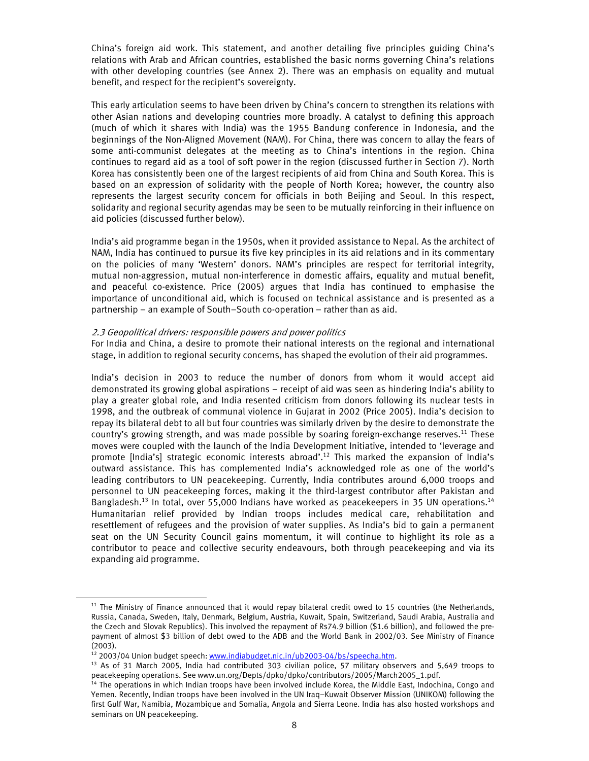China's foreign aid work. This statement, and another detailing five principles guiding China's relations with Arab and African countries, established the basic norms governing China's relations with other developing countries (see Annex 2). There was an emphasis on equality and mutual benefit, and respect for the recipient's sovereignty.

This early articulation seems to have been driven by China's concern to strengthen its relations with other Asian nations and developing countries more broadly. A catalyst to defining this approach (much of which it shares with India) was the 1955 Bandung conference in Indonesia, and the beginnings of the Non-Aligned Movement (NAM). For China, there was concern to allay the fears of some anti-communist delegates at the meeting as to China's intentions in the region. China continues to regard aid as a tool of soft power in the region (discussed further in Section 7). North Korea has consistently been one of the largest recipients of aid from China and South Korea. This is based on an expression of solidarity with the people of North Korea; however, the country also represents the largest security concern for officials in both Beijing and Seoul. In this respect, solidarity and regional security agendas may be seen to be mutually reinforcing in their influence on aid policies (discussed further below).

India's aid programme began in the 1950s, when it provided assistance to Nepal. As the architect of NAM, India has continued to pursue its five key principles in its aid relations and in its commentary on the policies of many 'Western' donors. NAM's principles are respect for territorial integrity, mutual non-aggression, mutual non-interference in domestic affairs, equality and mutual benefit, and peaceful co-existence. Price (2005) argues that India has continued to emphasise the importance of unconditional aid, which is focused on technical assistance and is presented as a partnership – an example of South–South co-operation – rather than as aid.

#### 2.3 Geopolitical drivers: responsible powers and power politics

For India and China, a desire to promote their national interests on the regional and international stage, in addition to regional security concerns, has shaped the evolution of their aid programmes.

India's decision in 2003 to reduce the number of donors from whom it would accept aid demonstrated its growing global aspirations – receipt of aid was seen as hindering India's ability to play a greater global role, and India resented criticism from donors following its nuclear tests in 1998, and the outbreak of communal violence in Gujarat in 2002 (Price 2005). India's decision to repay its bilateral debt to all but four countries was similarly driven by the desire to demonstrate the country's growing strength, and was made possible by soaring foreign-exchange reserves.<sup>11</sup> These moves were coupled with the launch of the India Development Initiative, intended to 'leverage and promote [India's] strategic economic interests abroad'.<sup>12</sup> This marked the expansion of India's outward assistance. This has complemented India's acknowledged role as one of the world's leading contributors to UN peacekeeping. Currently, India contributes around 6,000 troops and personnel to UN peacekeeping forces, making it the third-largest contributor after Pakistan and Bangladesh.<sup>13</sup> In total, over 55,000 Indians have worked as peacekeepers in 35 UN operations.<sup>14</sup> Humanitarian relief provided by Indian troops includes medical care, rehabilitation and resettlement of refugees and the provision of water supplies. As India's bid to gain a permanent seat on the UN Security Council gains momentum, it will continue to highlight its role as a contributor to peace and collective security endeavours, both through peacekeeping and via its expanding aid programme.

 $11$  The Ministry of Finance announced that it would repay bilateral credit owed to 15 countries (the Netherlands, Russia, Canada, Sweden, Italy, Denmark, Belgium, Austria, Kuwait, Spain, Switzerland, Saudi Arabia, Australia and the Czech and Slovak Republics). This involved the repayment of Rs74.9 billion (\$1.6 billion), and followed the prepayment of almost \$3 billion of debt owed to the ADB and the World Bank in 2002/03. See Ministry of Finance

<sup>(2003).&</sup>lt;br><sup>12</sup> 2003/04 Union budget speech: <u>www.indiabudget.nic.in/ub2003-04/bs/speecha.htm</u>.

<sup>&</sup>lt;sup>13</sup> As of 31 March 2005, India had contributed 303 civilian police, 57 military observers and 5,649 troops to peacekeeping operations. See www.un.org/Depts/dpko/dpko/contributors/2005/March2005\_1.pdf.

<sup>&</sup>lt;sup>14</sup> The operations in which Indian troops have been involved include Korea, the Middle East, Indochina, Congo and Yemen. Recently, Indian troops have been involved in the UN Iraq–Kuwait Observer Mission (UNIKOM) following the first Gulf War, Namibia, Mozambique and Somalia, Angola and Sierra Leone. India has also hosted workshops and seminars on UN peacekeeping.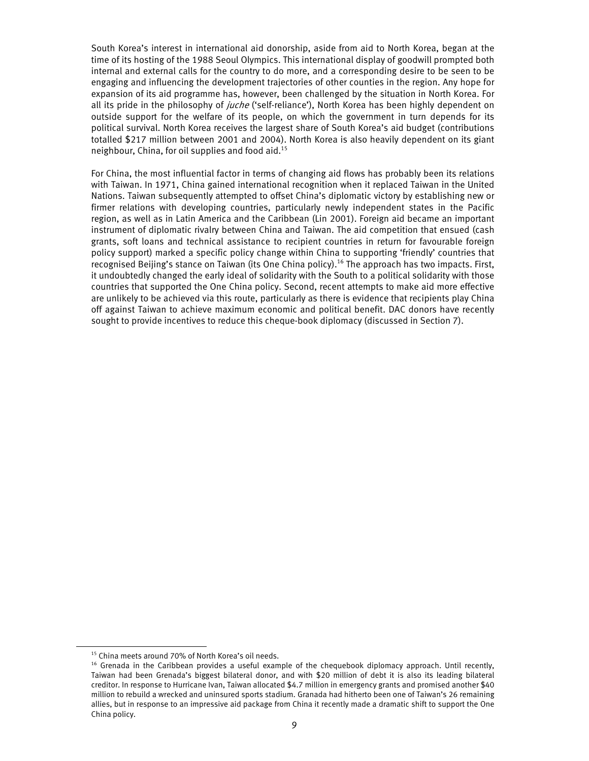South Korea's interest in international aid donorship, aside from aid to North Korea, began at the time of its hosting of the 1988 Seoul Olympics. This international display of goodwill prompted both internal and external calls for the country to do more, and a corresponding desire to be seen to be engaging and influencing the development trajectories of other counties in the region. Any hope for expansion of its aid programme has, however, been challenged by the situation in North Korea. For all its pride in the philosophy of *juche* ('self-reliance'), North Korea has been highly dependent on outside support for the welfare of its people, on which the government in turn depends for its political survival. North Korea receives the largest share of South Korea's aid budget (contributions totalled \$217 million between 2001 and 2004). North Korea is also heavily dependent on its giant neighbour, China, for oil supplies and food aid.15

For China, the most influential factor in terms of changing aid flows has probably been its relations with Taiwan. In 1971, China gained international recognition when it replaced Taiwan in the United Nations. Taiwan subsequently attempted to offset China's diplomatic victory by establishing new or firmer relations with developing countries, particularly newly independent states in the Pacific region, as well as in Latin America and the Caribbean (Lin 2001). Foreign aid became an important instrument of diplomatic rivalry between China and Taiwan. The aid competition that ensued (cash grants, soft loans and technical assistance to recipient countries in return for favourable foreign policy support) marked a specific policy change within China to supporting 'friendly' countries that recognised Beijing's stance on Taiwan (its One China policy).<sup>16</sup> The approach has two impacts. First, it undoubtedly changed the early ideal of solidarity with the South to a political solidarity with those countries that supported the One China policy. Second, recent attempts to make aid more effective are unlikely to be achieved via this route, particularly as there is evidence that recipients play China off against Taiwan to achieve maximum economic and political benefit. DAC donors have recently sought to provide incentives to reduce this cheque-book diplomacy (discussed in Section 7).

<sup>15</sup> China meets around 70% of North Korea's oil needs.

<sup>&</sup>lt;sup>16</sup> Grenada in the Caribbean provides a useful example of the chequebook diplomacy approach. Until recently, Taiwan had been Grenada's biggest bilateral donor, and with \$20 million of debt it is also its leading bilateral creditor. In response to Hurricane Ivan, Taiwan allocated \$4.7 million in emergency grants and promised another \$40 million to rebuild a wrecked and uninsured sports stadium. Granada had hitherto been one of Taiwan's 26 remaining allies, but in response to an impressive aid package from China it recently made a dramatic shift to support the One China policy.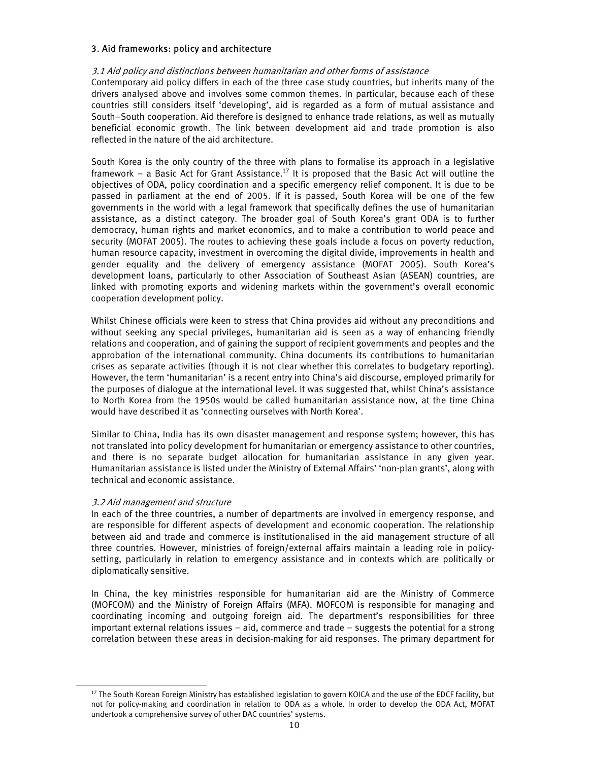#### 3. Aid frameworks: policy and architecture

# 3.1 Aid policy and distinctions between humanitarian and other forms of assistance

Contemporary aid policy differs in each of the three case study countries, but inherits many of the drivers analysed above and involves some common themes. In particular, because each of these countries still considers itself 'developing', aid is regarded as a form of mutual assistance and South–South cooperation. Aid therefore is designed to enhance trade relations, as well as mutually beneficial economic growth. The link between development aid and trade promotion is also reflected in the nature of the aid architecture.

South Korea is the only country of the three with plans to formalise its approach in a legislative framework – a Basic Act for Grant Assistance.<sup>17</sup> It is proposed that the Basic Act will outline the objectives of ODA, policy coordination and a specific emergency relief component. It is due to be passed in parliament at the end of 2005. If it is passed, South Korea will be one of the few governments in the world with a legal framework that specifically defines the use of humanitarian assistance, as a distinct category. The broader goal of South Korea's grant ODA is to further democracy, human rights and market economics, and to make a contribution to world peace and security (MOFAT 2005). The routes to achieving these goals include a focus on poverty reduction, human resource capacity, investment in overcoming the digital divide, improvements in health and gender equality and the delivery of emergency assistance (MOFAT 2005). South Korea's development loans, particularly to other Association of Southeast Asian (ASEAN) countries, are linked with promoting exports and widening markets within the government's overall economic cooperation development policy.

Whilst Chinese officials were keen to stress that China provides aid without any preconditions and without seeking any special privileges, humanitarian aid is seen as a way of enhancing friendly relations and cooperation, and of gaining the support of recipient governments and peoples and the approbation of the international community. China documents its contributions to humanitarian crises as separate activities (though it is not clear whether this correlates to budgetary reporting). However, the term 'humanitarian' is a recent entry into China's aid discourse, employed primarily for the purposes of dialogue at the international level. It was suggested that, whilst China's assistance to North Korea from the 1950s would be called humanitarian assistance now, at the time China would have described it as 'connecting ourselves with North Korea'.

Similar to China, India has its own disaster management and response system; however, this has not translated into policy development for humanitarian or emergency assistance to other countries, and there is no separate budget allocation for humanitarian assistance in any given year. Humanitarian assistance is listed under the Ministry of External Affairs' 'non-plan grants', along with technical and economic assistance.

#### 3.2 Aid management and structure

l

In each of the three countries, a number of departments are involved in emergency response, and are responsible for different aspects of development and economic cooperation. The relationship between aid and trade and commerce is institutionalised in the aid management structure of all three countries. However, ministries of foreign/external affairs maintain a leading role in policysetting, particularly in relation to emergency assistance and in contexts which are politically or diplomatically sensitive.

In China, the key ministries responsible for humanitarian aid are the Ministry of Commerce (MOFCOM) and the Ministry of Foreign Affairs (MFA). MOFCOM is responsible for managing and coordinating incoming and outgoing foreign aid. The department's responsibilities for three important external relations issues – aid, commerce and trade – suggests the potential for a strong correlation between these areas in decision-making for aid responses. The primary department for

<sup>&</sup>lt;sup>17</sup> The South Korean Foreign Ministry has established legislation to govern KOICA and the use of the EDCF facility, but not for policy-making and coordination in relation to ODA as a whole. In order to develop the ODA Act, MOFAT undertook a comprehensive survey of other DAC countries' systems.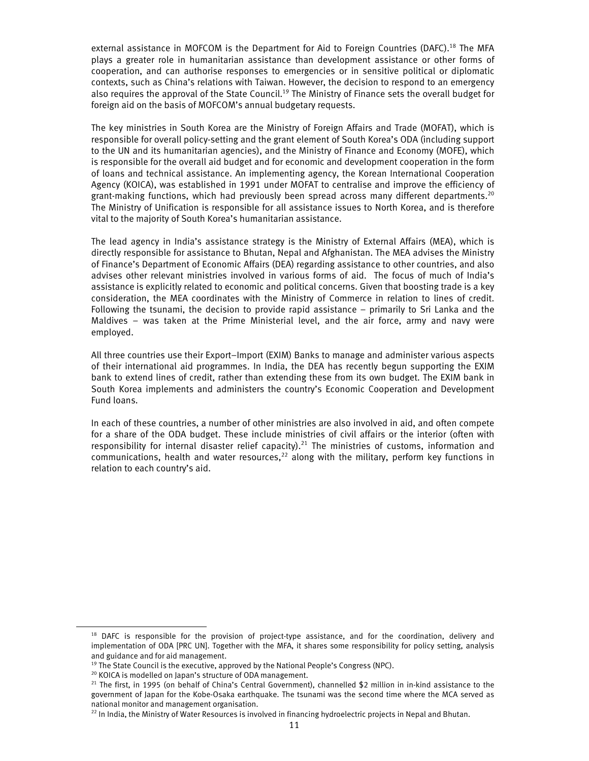external assistance in MOFCOM is the Department for Aid to Foreign Countries (DAFC).<sup>18</sup> The MFA plays a greater role in humanitarian assistance than development assistance or other forms of cooperation, and can authorise responses to emergencies or in sensitive political or diplomatic contexts, such as China's relations with Taiwan. However, the decision to respond to an emergency also requires the approval of the State Council.<sup>19</sup> The Ministry of Finance sets the overall budget for foreign aid on the basis of MOFCOM's annual budgetary requests.

The key ministries in South Korea are the Ministry of Foreign Affairs and Trade (MOFAT), which is responsible for overall policy-setting and the grant element of South Korea's ODA (including support to the UN and its humanitarian agencies), and the Ministry of Finance and Economy (MOFE), which is responsible for the overall aid budget and for economic and development cooperation in the form of loans and technical assistance. An implementing agency, the Korean International Cooperation Agency (KOICA), was established in 1991 under MOFAT to centralise and improve the efficiency of grant-making functions, which had previously been spread across many different departments.<sup>20</sup> The Ministry of Unification is responsible for all assistance issues to North Korea, and is therefore vital to the majority of South Korea's humanitarian assistance.

The lead agency in India's assistance strategy is the Ministry of External Affairs (MEA), which is directly responsible for assistance to Bhutan, Nepal and Afghanistan. The MEA advises the Ministry of Finance's Department of Economic Affairs (DEA) regarding assistance to other countries, and also advises other relevant ministries involved in various forms of aid. The focus of much of India's assistance is explicitly related to economic and political concerns. Given that boosting trade is a key consideration, the MEA coordinates with the Ministry of Commerce in relation to lines of credit. Following the tsunami, the decision to provide rapid assistance – primarily to Sri Lanka and the Maldives – was taken at the Prime Ministerial level, and the air force, army and navy were employed.

All three countries use their Export–Import (EXIM) Banks to manage and administer various aspects of their international aid programmes. In India, the DEA has recently begun supporting the EXIM bank to extend lines of credit, rather than extending these from its own budget. The EXIM bank in South Korea implements and administers the country's Economic Cooperation and Development Fund loans.

In each of these countries, a number of other ministries are also involved in aid, and often compete for a share of the ODA budget. These include ministries of civil affairs or the interior (often with responsibility for internal disaster relief capacity).<sup>21</sup> The ministries of customs, information and communications, health and water resources,<sup>22</sup> along with the military, perform key functions in relation to each country's aid.

<sup>&</sup>lt;sup>18</sup> DAFC is responsible for the provision of project-type assistance, and for the coordination, delivery and implementation of ODA [PRC UN]. Together with the MFA, it shares some responsibility for policy setting, analysis and guidance and for aid management.

<sup>&</sup>lt;sup>19</sup> The State Council is the executive, approved by the National People's Congress (NPC). <sup>20</sup> KOICA is modelled on Japan's structure of ODA management.

 $21$  The first, in 1995 (on behalf of China's Central Government), channelled \$2 million in in-kind assistance to the government of Japan for the Kobe-Osaka earthquake. The tsunami was the second time where the MCA served as national monitor and management organisation.

<sup>&</sup>lt;sup>22</sup> In India, the Ministry of Water Resources is involved in financing hydroelectric projects in Nepal and Bhutan.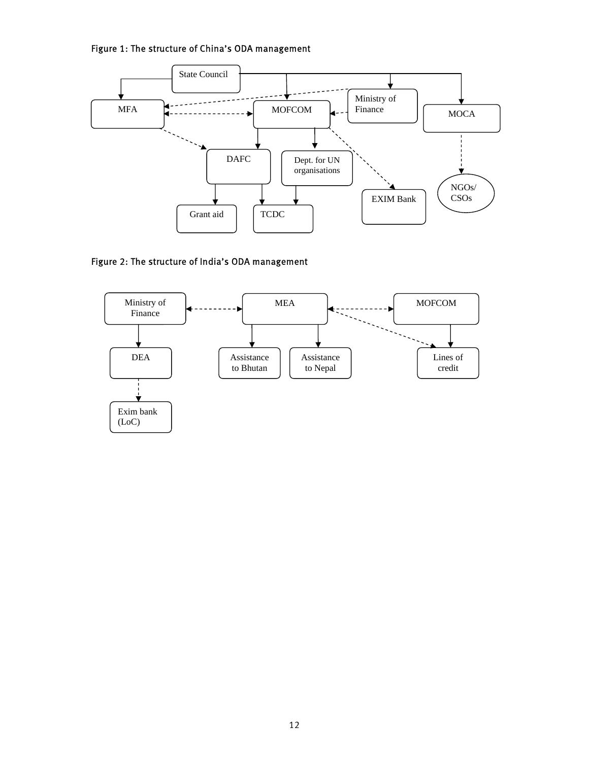Figure 1: The structure of China's ODA management



Figure 2: The structure of India's ODA management

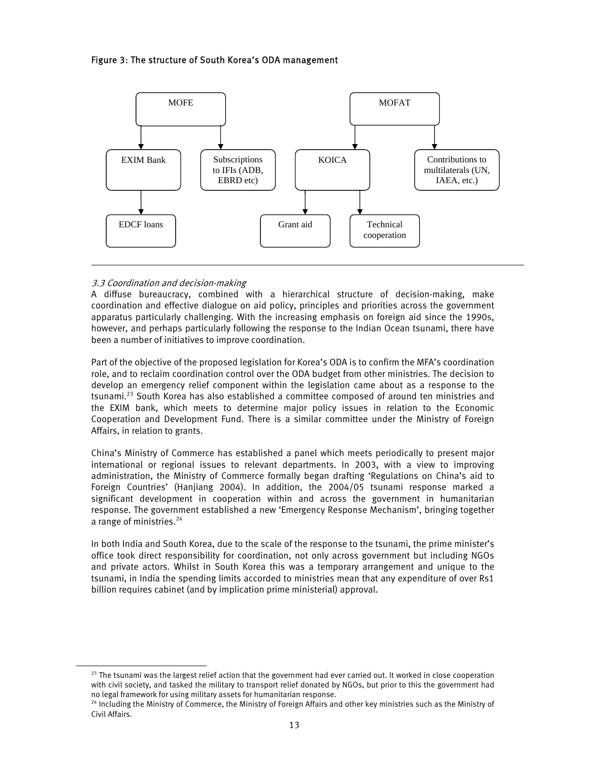# Figure 3: The structure of South Korea's ODA management



# 3.3 Coordination and decision-making

l

A diffuse bureaucracy, combined with a hierarchical structure of decision-making, make coordination and effective dialogue on aid policy, principles and priorities across the government apparatus particularly challenging. With the increasing emphasis on foreign aid since the 1990s, however, and perhaps particularly following the response to the Indian Ocean tsunami, there have been a number of initiatives to improve coordination.

Part of the objective of the proposed legislation for Korea's ODA is to confirm the MFA's coordination role, and to reclaim coordination control over the ODA budget from other ministries. The decision to develop an emergency relief component within the legislation came about as a response to the tsunami.23 South Korea has also established a committee composed of around ten ministries and the EXIM bank, which meets to determine major policy issues in relation to the Economic Cooperation and Development Fund. There is a similar committee under the Ministry of Foreign Affairs, in relation to grants.

China's Ministry of Commerce has established a panel which meets periodically to present major international or regional issues to relevant departments. In 2003, with a view to improving administration, the Ministry of Commerce formally began drafting 'Regulations on China's aid to Foreign Countries' (Hanjiang 2004). In addition, the 2004/05 tsunami response marked a significant development in cooperation within and across the government in humanitarian response. The government established a new 'Emergency Response Mechanism', bringing together a range of ministries.<sup>24</sup>

In both India and South Korea, due to the scale of the response to the tsunami, the prime minister's office took direct responsibility for coordination, not only across government but including NGOs and private actors. Whilst in South Korea this was a temporary arrangement and unique to the tsunami, in India the spending limits accorded to ministries mean that any expenditure of over Rs1 billion requires cabinet (and by implication prime ministerial) approval.

 $23$  The tsunami was the largest relief action that the government had ever carried out. It worked in close cooperation with civil society, and tasked the military to transport relief donated by NGOs, but prior to this the government had no legal framework for using military assets for humanitarian response.

<sup>&</sup>lt;sup>24</sup> Including the Ministry of Commerce, the Ministry of Foreign Affairs and other key ministries such as the Ministry of Civil Affairs.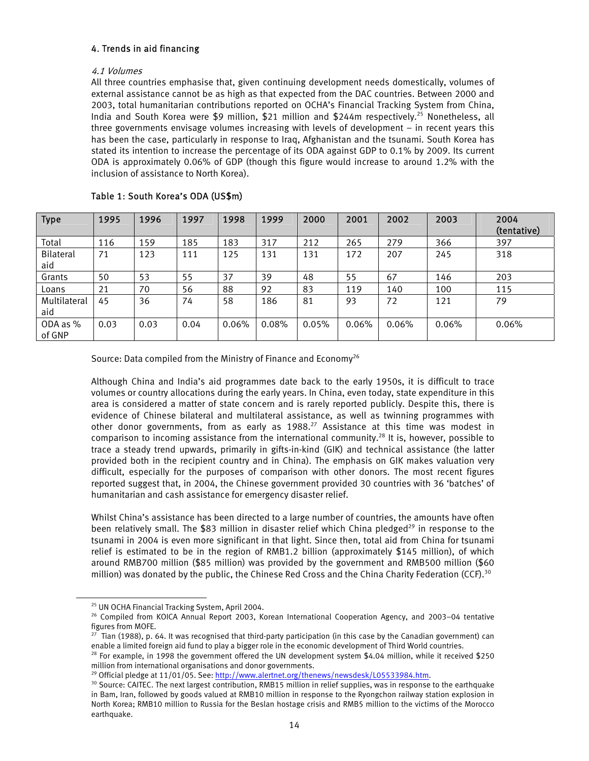# 4. Trends in aid financing

# 4.1 Volumes

All three countries emphasise that, given continuing development needs domestically, volumes of external assistance cannot be as high as that expected from the DAC countries. Between 2000 and 2003, total humanitarian contributions reported on OCHA's Financial Tracking System from China, India and South Korea were \$9 million, \$21 million and \$244m respectively.<sup>25</sup> Nonetheless, all three governments envisage volumes increasing with levels of development – in recent years this has been the case, particularly in response to Iraq, Afghanistan and the tsunami. South Korea has stated its intention to increase the percentage of its ODA against GDP to 0.1% by 2009. Its current ODA is approximately 0.06% of GDP (though this figure would increase to around 1.2% with the inclusion of assistance to North Korea).

| <b>Type</b>         | 1995 | 1996 | 1997 | 1998  | 1999  | 2000  | 2001  | 2002  | 2003  | 2004<br>(tentative) |
|---------------------|------|------|------|-------|-------|-------|-------|-------|-------|---------------------|
| Total               | 116  | 159  | 185  | 183   | 317   | 212   | 265   | 279   | 366   | 397                 |
| Bilateral<br>aid    | 71   | 123  | 111  | 125   | 131   | 131   | 172   | 207   | 245   | 318                 |
| Grants              | 50   | 53   | 55   | 37    | 39    | 48    | 55    | 67    | 146   | 203                 |
| Loans               | 21   | 70   | 56   | 88    | 92    | 83    | 119   | 140   | 100   | 115                 |
| Multilateral<br>aid | 45   | 36   | 74   | 58    | 186   | 81    | 93    | 72    | 121   | 79                  |
| ODA as %<br>of GNP  | 0.03 | 0.03 | 0.04 | 0.06% | 0.08% | 0.05% | 0.06% | 0.06% | 0.06% | 0.06%               |

# Table 1: South Korea's ODA (US\$m)

Source: Data compiled from the Ministry of Finance and Economy<sup>26</sup>

Although China and India's aid programmes date back to the early 1950s, it is difficult to trace volumes or country allocations during the early years. In China, even today, state expenditure in this area is considered a matter of state concern and is rarely reported publicly. Despite this, there is evidence of Chinese bilateral and multilateral assistance, as well as twinning programmes with other donor governments, from as early as 1988.<sup>27</sup> Assistance at this time was modest in comparison to incoming assistance from the international community.<sup>28</sup> It is, however, possible to trace a steady trend upwards, primarily in gifts-in-kind (GIK) and technical assistance (the latter provided both in the recipient country and in China). The emphasis on GIK makes valuation very difficult, especially for the purposes of comparison with other donors. The most recent figures reported suggest that, in 2004, the Chinese government provided 30 countries with 36 'batches' of humanitarian and cash assistance for emergency disaster relief.

Whilst China's assistance has been directed to a large number of countries, the amounts have often been relatively small. The \$83 million in disaster relief which China pledged<sup>29</sup> in response to the tsunami in 2004 is even more significant in that light. Since then, total aid from China for tsunami relief is estimated to be in the region of RMB1.2 billion (approximately \$145 million), of which around RMB700 million (\$85 million) was provided by the government and RMB500 million (\$60 million) was donated by the public, the Chinese Red Cross and the China Charity Federation (CCF).<sup>30</sup>

<sup>25</sup> UN OCHA Financial Tracking System, April 2004.

<sup>&</sup>lt;sup>26</sup> Compiled from KOICA Annual Report 2003, Korean International Cooperation Agency, and 2003–04 tentative figures from MOFE.

 $27$  Tian (1988), p. 64. It was recognised that third-party participation (in this case by the Canadian government) can

enable a limited foreign aid fund to play a bigger role in the economic development of Third World countries.<br><sup>28</sup> For example, in 1998 the government offered the UN development system \$4.04 million, while it received \$25 million from international organisations and donor governments.<br><sup>29</sup> Official pledge at 11/01/05. See: http://www.alertnet.org/thenews/newsdesk/L05533984.htm.

 $30$  Source: CAITEC. The next largest contribution, RMB15 million in relief supplies, was in response to the earthquake in Bam, Iran, followed by goods valued at RMB10 million in response to the Ryongchon railway station explosion in North Korea; RMB10 million to Russia for the Beslan hostage crisis and RMB5 million to the victims of the Morocco earthquake.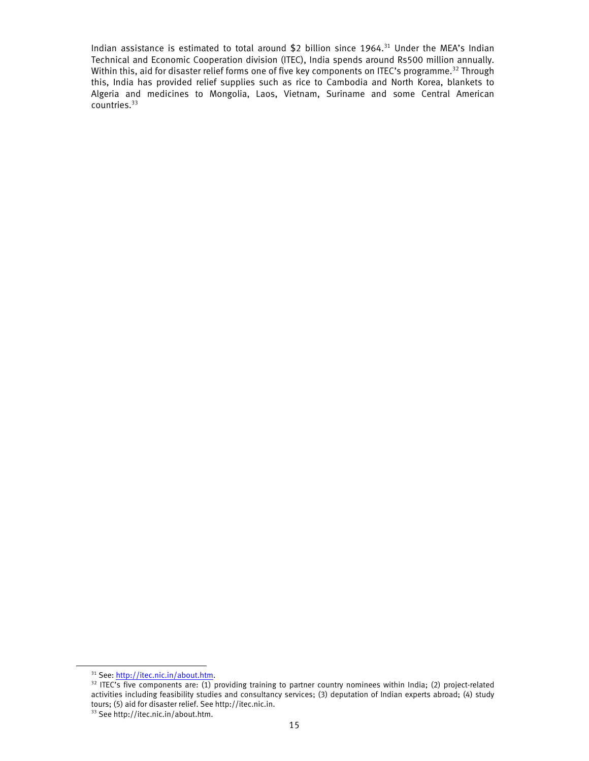Indian assistance is estimated to total around \$2 billion since 1964.<sup>31</sup> Under the MEA's Indian Technical and Economic Cooperation division (ITEC), India spends around Rs500 million annually. Within this, aid for disaster relief forms one of five key components on ITEC's programme.<sup>32</sup> Through this, India has provided relief supplies such as rice to Cambodia and North Korea, blankets to Algeria and medicines to Mongolia, Laos, Vietnam, Suriname and some Central American countries.<sup>33</sup>

<sup>&</sup>lt;sup>31</sup> See:  $\frac{http://itec.nic.in/about.htm}{http://itec.nic.in/about.htm}$ .<br><sup>32</sup> ITEC's five components are: (1) providing training to partner country nominees within India; (2) project-related activities including feasibility studies and consultancy services; (3) deputation of Indian experts abroad; (4) study tours; (5) aid for disaster relief. See http://itec.nic.in.

<sup>&</sup>lt;sup>33</sup> See http://itec.nic.in/about.htm.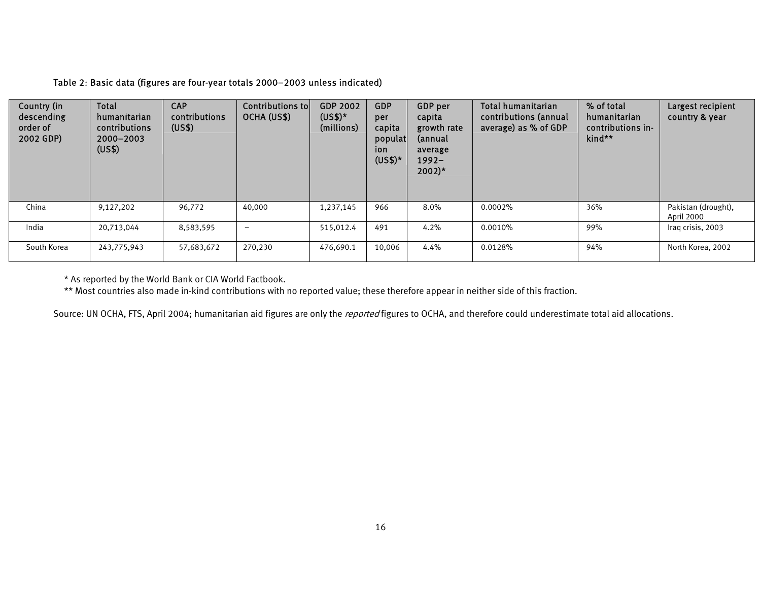# Table 2: Basic data (figures are four-year totals 2000–2003 unless indicated)

| Country (in<br>descending<br>order of<br>2002 GDP) | Total<br>humanitarian<br>contributions<br>2000-2003<br>(US\$) | <b>CAP</b><br>contributions<br>(US\$) | Contributions to<br>OCHA (US\$) | GDP 2002<br>$(US$)*$<br>(millions) | <b>GDP</b><br>per<br>capita<br>populat<br>ion<br>$(US$)*$ | GDP per<br>capita<br>growth rate<br>(annual<br>average<br>$1992 -$<br>$2002)*$ | Total humanitarian<br>contributions (annual<br>average) as % of GDP | % of total<br>humanitarian<br>contributions in-<br>kind** | Largest recipient<br>country & year |
|----------------------------------------------------|---------------------------------------------------------------|---------------------------------------|---------------------------------|------------------------------------|-----------------------------------------------------------|--------------------------------------------------------------------------------|---------------------------------------------------------------------|-----------------------------------------------------------|-------------------------------------|
| China                                              | 9,127,202                                                     | 96,772                                | 40,000                          | 1,237,145                          | 966                                                       | $8.0\%$                                                                        | 0.0002%                                                             | 36%                                                       | Pakistan (drought),<br>April 2000   |
| India                                              | 20,713,044                                                    | 8,583,595                             | $\qquad \qquad$                 | 515,012.4                          | 491                                                       | 4.2%                                                                           | $0.0010\%$                                                          | 99%                                                       | Iraq crisis, 2003                   |
| South Korea                                        | 243,775,943                                                   | 57,683,672                            | 270,230                         | 476,690.1                          | 10,006                                                    | 4.4%                                                                           | $0.0128\%$                                                          | 94%                                                       | North Korea, 2002                   |

\* As reported by the World Bank or CIA World Factbook.

\*\* Most countries also made in-kind contributions with no reported value; these therefore appear in neither side of this fraction.

Source: UN OCHA, FTS, April 2004; humanitarian aid figures are only the reported figures to OCHA, and therefore could underestimate total aid allocations.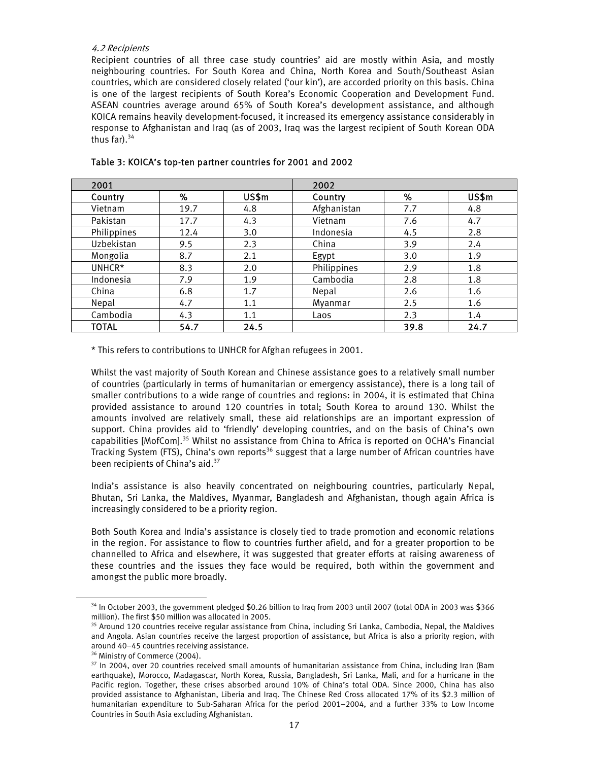# 4.2 Recipients

Recipient countries of all three case study countries' aid are mostly within Asia, and mostly neighbouring countries. For South Korea and China, North Korea and South/Southeast Asian countries, which are considered closely related ('our kin'), are accorded priority on this basis. China is one of the largest recipients of South Korea's Economic Cooperation and Development Fund. ASEAN countries average around 65% of South Korea's development assistance, and although KOICA remains heavily development-focused, it increased its emergency assistance considerably in response to Afghanistan and Iraq (as of 2003, Iraq was the largest recipient of South Korean ODA thus far). $34$ 

| 2001         |      |       | 2002        |      |       |
|--------------|------|-------|-------------|------|-------|
| Country      | ℅    | US\$m | Country     | %    | US\$m |
| Vietnam      | 19.7 | 4.8   | Afghanistan | 7.7  | 4.8   |
| Pakistan     | 17.7 | 4.3   | Vietnam     | 7.6  | 4.7   |
| Philippines  | 12.4 | 3.0   | Indonesia   | 4.5  | 2.8   |
| Uzbekistan   | 9.5  | 2.3   | China       | 3.9  | 2.4   |
| Mongolia     | 8.7  | 2.1   | Egypt       | 3.0  | 1.9   |
| UNHCR*       | 8.3  | 2.0   | Philippines | 2.9  | 1.8   |
| Indonesia    | 7.9  | 1.9   | Cambodia    | 2.8  | 1.8   |
| China        | 6.8  | 1.7   | Nepal       | 2.6  | 1.6   |
| Nepal        | 4.7  | 1.1   | Myanmar     | 2.5  | 1.6   |
| Cambodia     | 4.3  | 1.1   | Laos        | 2.3  | 1.4   |
| <b>TOTAL</b> | 54.7 | 24.5  |             | 39.8 | 24.7  |

#### Table 3: KOICA's top-ten partner countries for 2001 and 2002

\* This refers to contributions to UNHCR for Afghan refugees in 2001.

Whilst the vast majority of South Korean and Chinese assistance goes to a relatively small number of countries (particularly in terms of humanitarian or emergency assistance), there is a long tail of smaller contributions to a wide range of countries and regions: in 2004, it is estimated that China provided assistance to around 120 countries in total; South Korea to around 130. Whilst the amounts involved are relatively small, these aid relationships are an important expression of support. China provides aid to 'friendly' developing countries, and on the basis of China's own capabilities [MofCom].35 Whilst no assistance from China to Africa is reported on OCHA's Financial Tracking System (FTS), China's own reports<sup>36</sup> suggest that a large number of African countries have been recipients of China's aid.<sup>37</sup>

India's assistance is also heavily concentrated on neighbouring countries, particularly Nepal, Bhutan, Sri Lanka, the Maldives, Myanmar, Bangladesh and Afghanistan, though again Africa is increasingly considered to be a priority region.

Both South Korea and India's assistance is closely tied to trade promotion and economic relations in the region. For assistance to flow to countries further afield, and for a greater proportion to be channelled to Africa and elsewhere, it was suggested that greater efforts at raising awareness of these countries and the issues they face would be required, both within the government and amongst the public more broadly.

<sup>&</sup>lt;sup>34</sup> In October 2003, the government pledged \$0.26 billion to Iraq from 2003 until 2007 (total ODA in 2003 was \$366 million). The first \$50 million was allocated in 2005.

<sup>&</sup>lt;sup>35</sup> Around 120 countries receive regular assistance from China, including Sri Lanka, Cambodia, Nepal, the Maldives and Angola. Asian countries receive the largest proportion of assistance, but Africa is also a priority region, with around 40–45 countries receiving assistance.

<sup>&</sup>lt;sup>36</sup> Ministry of Commerce (2004).

<sup>&</sup>lt;sup>37</sup> In 2004, over 20 countries received small amounts of humanitarian assistance from China, including Iran (Bam earthquake), Morocco, Madagascar, North Korea, Russia, Bangladesh, Sri Lanka, Mali, and for a hurricane in the Pacific region. Together, these crises absorbed around 10% of China's total ODA. Since 2000, China has also provided assistance to Afghanistan, Liberia and Iraq. The Chinese Red Cross allocated 17% of its \$2.3 million of humanitarian expenditure to Sub-Saharan Africa for the period 2001–2004, and a further 33% to Low Income Countries in South Asia excluding Afghanistan.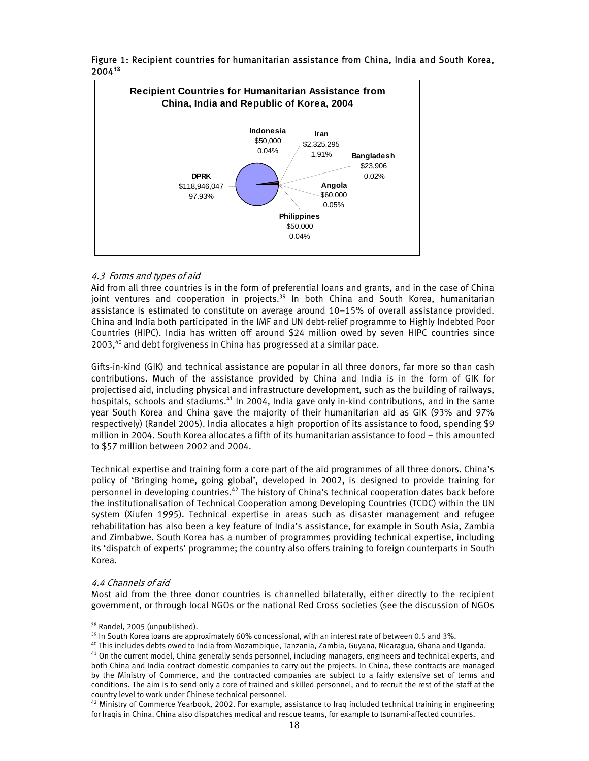

Figure 1: Recipient countries for humanitarian assistance from China, India and South Korea, 200438

# 4.3 Forms and types of aid

Aid from all three countries is in the form of preferential loans and grants, and in the case of China joint ventures and cooperation in projects.<sup>39</sup> In both China and South Korea, humanitarian assistance is estimated to constitute on average around 10–15% of overall assistance provided. China and India both participated in the IMF and UN debt-relief programme to Highly Indebted Poor Countries (HIPC). India has written off around \$24 million owed by seven HIPC countries since 2003.<sup>40</sup> and debt forgiveness in China has progressed at a similar pace.

Gifts-in-kind (GIK) and technical assistance are popular in all three donors, far more so than cash contributions. Much of the assistance provided by China and India is in the form of GIK for projectised aid, including physical and infrastructure development, such as the building of railways, hospitals, schools and stadiums.<sup>41</sup> In 2004, India gave only in-kind contributions, and in the same year South Korea and China gave the majority of their humanitarian aid as GIK (93% and 97% respectively) (Randel 2005). India allocates a high proportion of its assistance to food, spending \$9 million in 2004. South Korea allocates a fifth of its humanitarian assistance to food – this amounted to \$57 million between 2002 and 2004.

Technical expertise and training form a core part of the aid programmes of all three donors. China's policy of 'Bringing home, going global', developed in 2002, is designed to provide training for personnel in developing countries.<sup>42</sup> The history of China's technical cooperation dates back before the institutionalisation of Technical Cooperation among Developing Countries (TCDC) within the UN system (Xiufen 1995). Technical expertise in areas such as disaster management and refugee rehabilitation has also been a key feature of India's assistance, for example in South Asia, Zambia and Zimbabwe. South Korea has a number of programmes providing technical expertise, including its 'dispatch of experts' programme; the country also offers training to foreign counterparts in South Korea.

#### 4.4 Channels of aid

l

Most aid from the three donor countries is channelled bilaterally, either directly to the recipient government, or through local NGOs or the national Red Cross societies (see the discussion of NGOs

<sup>&</sup>lt;sup>38</sup> Randel, 2005 (unpublished).

<sup>&</sup>lt;sup>39</sup> In South Korea loans are approximately 60% concessional, with an interest rate of between 0.5 and 3%.

<sup>&</sup>lt;sup>40</sup> This includes debts owed to India from Mozambique, Tanzania, Zambia, Guyana, Nicaragua, Ghana and Uganda. <sup>41</sup> On the current model, China generally sends personnel, including managers, engineers and technical experts, and both China and India contract domestic companies to carry out the projects. In China, these contracts are managed by the Ministry of Commerce, and the contracted companies are subject to a fairly extensive set of terms and conditions. The aim is to send only a core of trained and skilled personnel, and to recruit the rest of the staff at the

country level to work under Chinese technical personnel.<br><sup>42</sup> Ministry of Commerce Yearbook, 2002. For example, assistance to Iraq included technical training in engineering for Iraqis in China. China also dispatches medical and rescue teams, for example to tsunami-affected countries.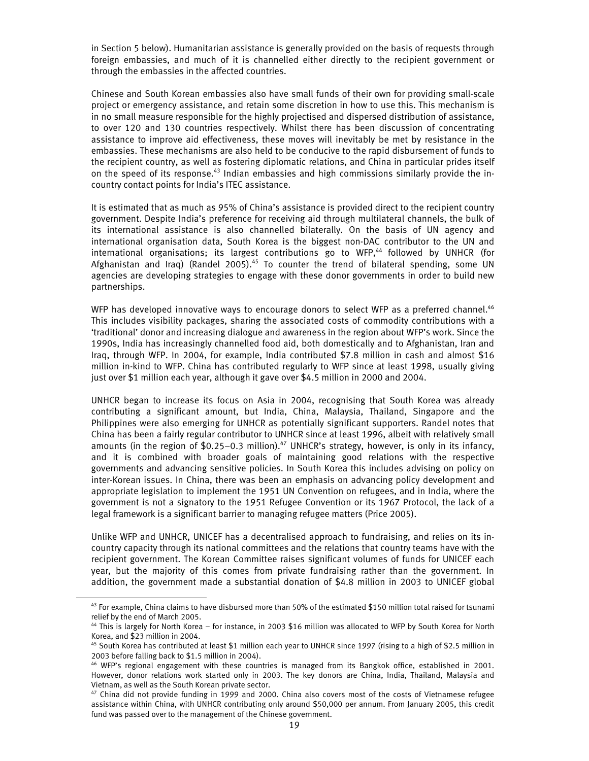in Section 5 below). Humanitarian assistance is generally provided on the basis of requests through foreign embassies, and much of it is channelled either directly to the recipient government or through the embassies in the affected countries.

Chinese and South Korean embassies also have small funds of their own for providing small-scale project or emergency assistance, and retain some discretion in how to use this. This mechanism is in no small measure responsible for the highly projectised and dispersed distribution of assistance, to over 120 and 130 countries respectively. Whilst there has been discussion of concentrating assistance to improve aid effectiveness, these moves will inevitably be met by resistance in the embassies. These mechanisms are also held to be conducive to the rapid disbursement of funds to the recipient country, as well as fostering diplomatic relations, and China in particular prides itself on the speed of its response.<sup>43</sup> Indian embassies and high commissions similarly provide the incountry contact points for India's ITEC assistance.

It is estimated that as much as 95% of China's assistance is provided direct to the recipient country government. Despite India's preference for receiving aid through multilateral channels, the bulk of its international assistance is also channelled bilaterally. On the basis of UN agency and international organisation data, South Korea is the biggest non-DAC contributor to the UN and international organisations; its largest contributions go to WFP,<sup>44</sup> followed by UNHCR (for Afghanistan and Iraq) (Randel 2005).<sup>45</sup> To counter the trend of bilateral spending, some UN agencies are developing strategies to engage with these donor governments in order to build new partnerships.

WFP has developed innovative ways to encourage donors to select WFP as a preferred channel.<sup>46</sup> This includes visibility packages, sharing the associated costs of commodity contributions with a 'traditional' donor and increasing dialogue and awareness in the region about WFP's work. Since the 1990s, India has increasingly channelled food aid, both domestically and to Afghanistan, Iran and Iraq, through WFP. In 2004, for example, India contributed \$7.8 million in cash and almost \$16 million in-kind to WFP. China has contributed regularly to WFP since at least 1998, usually giving just over \$1 million each year, although it gave over \$4.5 million in 2000 and 2004.

UNHCR began to increase its focus on Asia in 2004, recognising that South Korea was already contributing a significant amount, but India, China, Malaysia, Thailand, Singapore and the Philippines were also emerging for UNHCR as potentially significant supporters. Randel notes that China has been a fairly regular contributor to UNHCR since at least 1996, albeit with relatively small amounts (in the region of  $$0.25-0.3$  million).<sup>47</sup> UNHCR's strategy, however, is only in its infancy, and it is combined with broader goals of maintaining good relations with the respective governments and advancing sensitive policies. In South Korea this includes advising on policy on inter-Korean issues. In China, there was been an emphasis on advancing policy development and appropriate legislation to implement the 1951 UN Convention on refugees, and in India, where the government is not a signatory to the 1951 Refugee Convention or its 1967 Protocol, the lack of a legal framework is a significant barrier to managing refugee matters (Price 2005).

Unlike WFP and UNHCR, UNICEF has a decentralised approach to fundraising, and relies on its incountry capacity through its national committees and the relations that country teams have with the recipient government. The Korean Committee raises significant volumes of funds for UNICEF each year, but the majority of this comes from private fundraising rather than the government. In addition, the government made a substantial donation of \$4.8 million in 2003 to UNICEF global

 $43$  For example, China claims to have disbursed more than 50% of the estimated \$150 million total raised for tsunami relief by the end of March 2005.

<sup>44</sup> This is largely for North Korea – for instance, in 2003 \$16 million was allocated to WFP by South Korea for North Korea, and \$23 million in 2004.

<sup>&</sup>lt;sup>45</sup> South Korea has contributed at least \$1 million each year to UNHCR since 1997 (rising to a high of \$2.5 million in 2003 before falling back to \$1.5 million in 2004).

<sup>46</sup> WFP's regional engagement with these countries is managed from its Bangkok office, established in 2001. However, donor relations work started only in 2003. The key donors are China, India, Thailand, Malaysia and Vietnam, as well as the South Korean private sector.

<sup>&</sup>lt;sup>47</sup> China did not provide funding in 1999 and 2000. China also covers most of the costs of Vietnamese refugee assistance within China, with UNHCR contributing only around \$50,000 per annum. From January 2005, this credit fund was passed over to the management of the Chinese government.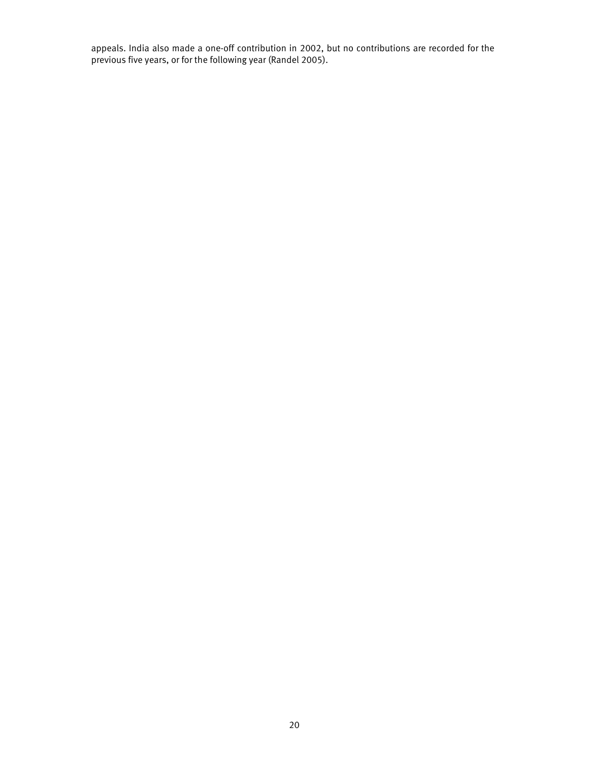appeals. India also made a one-off contribution in 2002, but no contributions are recorded for the previous five years, or for the following year (Randel 2005).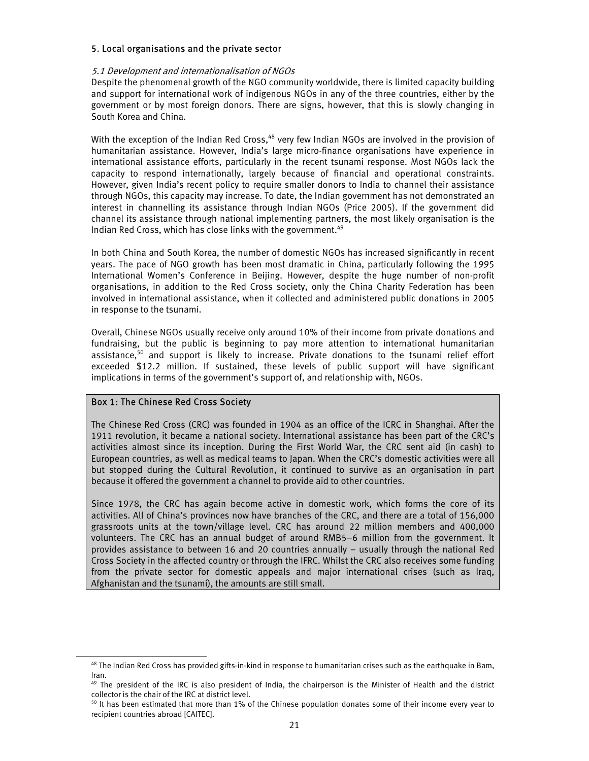#### 5. Local organisations and the private sector

#### 5.1 Development and internationalisation of NGOs

Despite the phenomenal growth of the NGO community worldwide, there is limited capacity building and support for international work of indigenous NGOs in any of the three countries, either by the government or by most foreign donors. There are signs, however, that this is slowly changing in South Korea and China.

With the exception of the Indian Red Cross.<sup>48</sup> very few Indian NGOs are involved in the provision of humanitarian assistance. However, India's large micro-finance organisations have experience in international assistance efforts, particularly in the recent tsunami response. Most NGOs lack the capacity to respond internationally, largely because of financial and operational constraints. However, given India's recent policy to require smaller donors to India to channel their assistance through NGOs, this capacity may increase. To date, the Indian government has not demonstrated an interest in channelling its assistance through Indian NGOs (Price 2005). If the government did channel its assistance through national implementing partners, the most likely organisation is the Indian Red Cross, which has close links with the government.<sup>49</sup>

In both China and South Korea, the number of domestic NGOs has increased significantly in recent years. The pace of NGO growth has been most dramatic in China, particularly following the 1995 International Women's Conference in Beijing. However, despite the huge number of non-profit organisations, in addition to the Red Cross society, only the China Charity Federation has been involved in international assistance, when it collected and administered public donations in 2005 in response to the tsunami.

Overall, Chinese NGOs usually receive only around 10% of their income from private donations and fundraising, but the public is beginning to pay more attention to international humanitarian assistance,<sup>50</sup> and support is likely to increase. Private donations to the tsunami relief effort exceeded \$12.2 million. If sustained, these levels of public support will have significant implications in terms of the government's support of, and relationship with, NGOs.

#### Box 1: The Chinese Red Cross Society

l

The Chinese Red Cross (CRC) was founded in 1904 as an office of the ICRC in Shanghai. After the 1911 revolution, it became a national society. International assistance has been part of the CRC's activities almost since its inception. During the First World War, the CRC sent aid (in cash) to European countries, as well as medical teams to Japan. When the CRC's domestic activities were all but stopped during the Cultural Revolution, it continued to survive as an organisation in part because it offered the government a channel to provide aid to other countries.

Since 1978, the CRC has again become active in domestic work, which forms the core of its activities. All of China's provinces now have branches of the CRC, and there are a total of 156,000 grassroots units at the town/village level. CRC has around 22 million members and 400,000 volunteers. The CRC has an annual budget of around RMB5–6 million from the government. It provides assistance to between 16 and 20 countries annually – usually through the national Red Cross Society in the affected country or through the IFRC. Whilst the CRC also receives some funding from the private sector for domestic appeals and major international crises (such as Iraq, Afghanistan and the tsunami), the amounts are still small.

 $48$  The Indian Red Cross has provided gifts-in-kind in response to humanitarian crises such as the earthquake in Bam, Iran.

 $49$  The president of the IRC is also president of India, the chairperson is the Minister of Health and the district collector is the chair of the IRC at district level.

<sup>&</sup>lt;sup>50</sup> It has been estimated that more than 1% of the Chinese population donates some of their income every year to recipient countries abroad [CAITEC].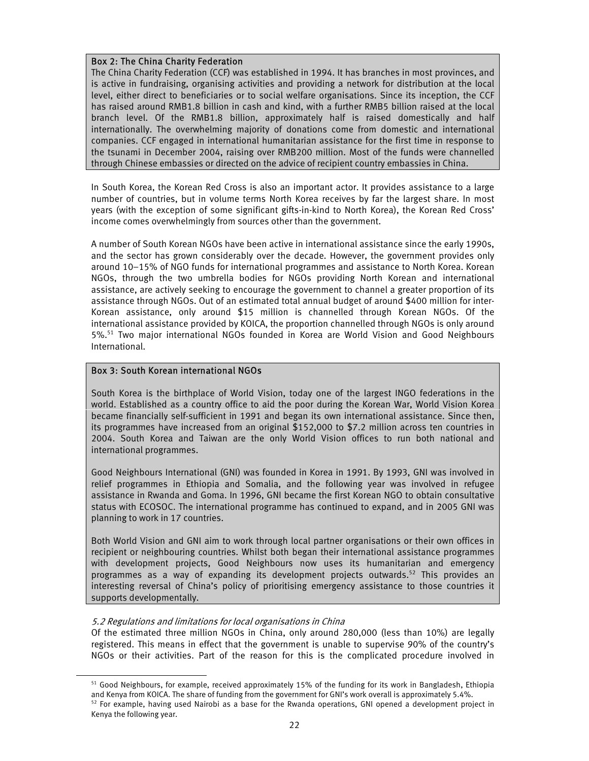# Box 2: The China Charity Federation

The China Charity Federation (CCF) was established in 1994. It has branches in most provinces, and is active in fundraising, organising activities and providing a network for distribution at the local level, either direct to beneficiaries or to social welfare organisations. Since its inception, the CCF has raised around RMB1.8 billion in cash and kind, with a further RMB5 billion raised at the local branch level. Of the RMB1.8 billion, approximately half is raised domestically and half internationally. The overwhelming majority of donations come from domestic and international companies. CCF engaged in international humanitarian assistance for the first time in response to the tsunami in December 2004, raising over RMB200 million. Most of the funds were channelled through Chinese embassies or directed on the advice of recipient country embassies in China.

In South Korea, the Korean Red Cross is also an important actor. It provides assistance to a large number of countries, but in volume terms North Korea receives by far the largest share. In most years (with the exception of some significant gifts-in-kind to North Korea), the Korean Red Cross' income comes overwhelmingly from sources other than the government.

A number of South Korean NGOs have been active in international assistance since the early 1990s, and the sector has grown considerably over the decade. However, the government provides only around 10–15% of NGO funds for international programmes and assistance to North Korea. Korean NGOs, through the two umbrella bodies for NGOs providing North Korean and international assistance, are actively seeking to encourage the government to channel a greater proportion of its assistance through NGOs. Out of an estimated total annual budget of around \$400 million for inter-Korean assistance, only around \$15 million is channelled through Korean NGOs. Of the international assistance provided by KOICA, the proportion channelled through NGOs is only around 5%.51 Two major international NGOs founded in Korea are World Vision and Good Neighbours International.

# Box 3: South Korean international NGOs

South Korea is the birthplace of World Vision, today one of the largest INGO federations in the world. Established as a country office to aid the poor during the Korean War, World Vision Korea became financially self-sufficient in 1991 and began its own international assistance. Since then, its programmes have increased from an original \$152,000 to \$7.2 million across ten countries in 2004. South Korea and Taiwan are the only World Vision offices to run both national and international programmes.

Good Neighbours International (GNI) was founded in Korea in 1991. By 1993, GNI was involved in relief programmes in Ethiopia and Somalia, and the following year was involved in refugee assistance in Rwanda and Goma. In 1996, GNI became the first Korean NGO to obtain consultative status with ECOSOC. The international programme has continued to expand, and in 2005 GNI was planning to work in 17 countries.

Both World Vision and GNI aim to work through local partner organisations or their own offices in recipient or neighbouring countries. Whilst both began their international assistance programmes with development projects, Good Neighbours now uses its humanitarian and emergency programmes as a way of expanding its development projects outwards.<sup>52</sup> This provides an interesting reversal of China's policy of prioritising emergency assistance to those countries it supports developmentally.

#### 5.2 Regulations and limitations for local organisations in China

l

Of the estimated three million NGOs in China, only around 280,000 (less than 10%) are legally registered. This means in effect that the government is unable to supervise 90% of the country's NGOs or their activities. Part of the reason for this is the complicated procedure involved in

<sup>&</sup>lt;sup>51</sup> Good Neighbours, for example, received approximately 15% of the funding for its work in Bangladesh, Ethiopia and Kenya from KOICA. The share of funding from the government for GNI's work overall is approximately 5.4%. 52 For example, having used Nairobi as a base for the Rwanda operations, GNI opened a development project in Kenya the following year.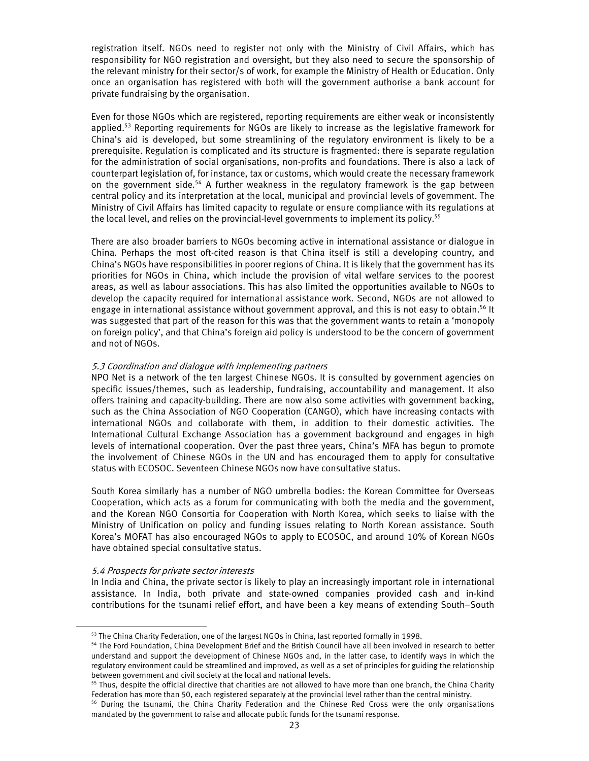registration itself. NGOs need to register not only with the Ministry of Civil Affairs, which has responsibility for NGO registration and oversight, but they also need to secure the sponsorship of the relevant ministry for their sector/s of work, for example the Ministry of Health or Education. Only once an organisation has registered with both will the government authorise a bank account for private fundraising by the organisation.

Even for those NGOs which are registered, reporting requirements are either weak or inconsistently applied.<sup>53</sup> Reporting requirements for NGOs are likely to increase as the legislative framework for China's aid is developed, but some streamlining of the regulatory environment is likely to be a prerequisite. Regulation is complicated and its structure is fragmented: there is separate regulation for the administration of social organisations, non-profits and foundations. There is also a lack of counterpart legislation of, for instance, tax or customs, which would create the necessary framework on the government side.<sup>54</sup> A further weakness in the regulatory framework is the gap between central policy and its interpretation at the local, municipal and provincial levels of government. The Ministry of Civil Affairs has limited capacity to regulate or ensure compliance with its regulations at the local level, and relies on the provincial-level governments to implement its policy.<sup>55</sup>

There are also broader barriers to NGOs becoming active in international assistance or dialogue in China. Perhaps the most oft-cited reason is that China itself is still a developing country, and China's NGOs have responsibilities in poorer regions of China. It is likely that the government has its priorities for NGOs in China, which include the provision of vital welfare services to the poorest areas, as well as labour associations. This has also limited the opportunities available to NGOs to develop the capacity required for international assistance work. Second, NGOs are not allowed to engage in international assistance without government approval, and this is not easy to obtain.<sup>56</sup> It was suggested that part of the reason for this was that the government wants to retain a 'monopoly on foreign policy', and that China's foreign aid policy is understood to be the concern of government and not of NGOs.

#### 5.3 Coordination and dialogue with implementing partners

NPO Net is a network of the ten largest Chinese NGOs. It is consulted by government agencies on specific issues/themes, such as leadership, fundraising, accountability and management. It also offers training and capacity-building. There are now also some activities with government backing, such as the China Association of NGO Cooperation (CANGO), which have increasing contacts with international NGOs and collaborate with them, in addition to their domestic activities. The International Cultural Exchange Association has a government background and engages in high levels of international cooperation. Over the past three years, China's MFA has begun to promote the involvement of Chinese NGOs in the UN and has encouraged them to apply for consultative status with ECOSOC. Seventeen Chinese NGOs now have consultative status.

South Korea similarly has a number of NGO umbrella bodies: the Korean Committee for Overseas Cooperation, which acts as a forum for communicating with both the media and the government, and the Korean NGO Consortia for Cooperation with North Korea, which seeks to liaise with the Ministry of Unification on policy and funding issues relating to North Korean assistance. South Korea's MOFAT has also encouraged NGOs to apply to ECOSOC, and around 10% of Korean NGOs have obtained special consultative status.

#### 5.4 Prospects for private sector interests

l

In India and China, the private sector is likely to play an increasingly important role in international assistance. In India, both private and state-owned companies provided cash and in-kind contributions for the tsunami relief effort, and have been a key means of extending South–South

<sup>&</sup>lt;sup>53</sup> The China Charity Federation, one of the largest NGOs in China, last reported formally in 1998.<br><sup>54</sup> The Ford Foundation, China Development Brief and the British Council have all been involved in research to better understand and support the development of Chinese NGOs and, in the latter case, to identify ways in which the regulatory environment could be streamlined and improved, as well as a set of principles for guiding the relationship between government and civil society at the local and national levels.

<sup>&</sup>lt;sup>55</sup> Thus, despite the official directive that charities are not allowed to have more than one branch, the China Charity Federation has more than 50, each registered separately at the provincial level rather than the central ministry.

<sup>&</sup>lt;sup>56</sup> During the tsunami, the China Charity Federation and the Chinese Red Cross were the only organisations mandated by the government to raise and allocate public funds for the tsunami response.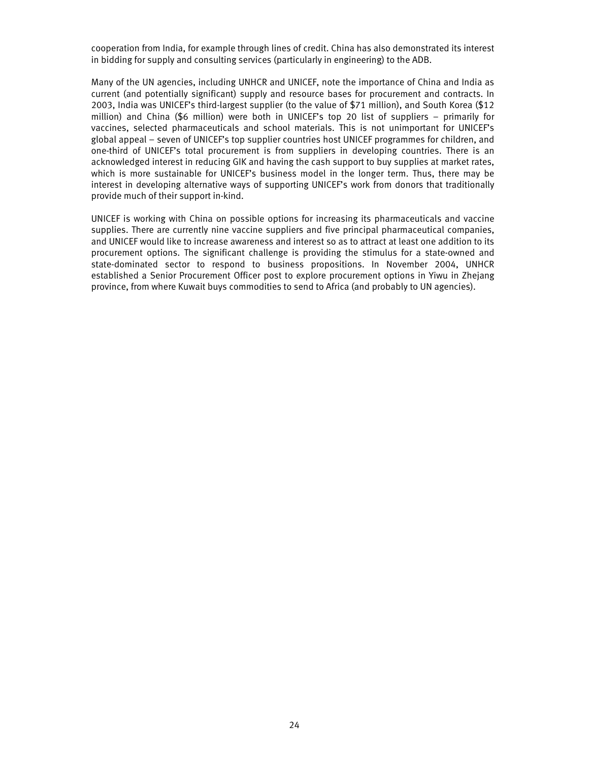cooperation from India, for example through lines of credit. China has also demonstrated its interest in bidding for supply and consulting services (particularly in engineering) to the ADB.

Many of the UN agencies, including UNHCR and UNICEF, note the importance of China and India as current (and potentially significant) supply and resource bases for procurement and contracts. In 2003, India was UNICEF's third-largest supplier (to the value of \$71 million), and South Korea (\$12 million) and China (\$6 million) were both in UNICEF's top 20 list of suppliers – primarily for vaccines, selected pharmaceuticals and school materials. This is not unimportant for UNICEF's global appeal – seven of UNICEF's top supplier countries host UNICEF programmes for children, and one-third of UNICEF's total procurement is from suppliers in developing countries. There is an acknowledged interest in reducing GIK and having the cash support to buy supplies at market rates, which is more sustainable for UNICEF's business model in the longer term. Thus, there may be interest in developing alternative ways of supporting UNICEF's work from donors that traditionally provide much of their support in-kind.

UNICEF is working with China on possible options for increasing its pharmaceuticals and vaccine supplies. There are currently nine vaccine suppliers and five principal pharmaceutical companies, and UNICEF would like to increase awareness and interest so as to attract at least one addition to its procurement options. The significant challenge is providing the stimulus for a state-owned and state-dominated sector to respond to business propositions. In November 2004, UNHCR established a Senior Procurement Officer post to explore procurement options in Yiwu in Zhejang province, from where Kuwait buys commodities to send to Africa (and probably to UN agencies).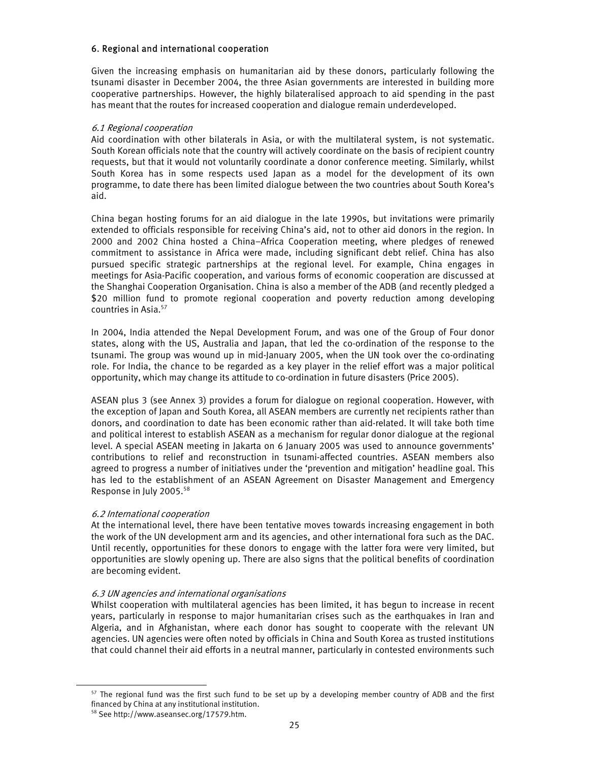#### 6. Regional and international cooperation

Given the increasing emphasis on humanitarian aid by these donors, particularly following the tsunami disaster in December 2004, the three Asian governments are interested in building more cooperative partnerships. However, the highly bilateralised approach to aid spending in the past has meant that the routes for increased cooperation and dialogue remain underdeveloped.

#### 6.1 Regional cooperation

Aid coordination with other bilaterals in Asia, or with the multilateral system, is not systematic. South Korean officials note that the country will actively coordinate on the basis of recipient country requests, but that it would not voluntarily coordinate a donor conference meeting. Similarly, whilst South Korea has in some respects used Japan as a model for the development of its own programme, to date there has been limited dialogue between the two countries about South Korea's aid.

China began hosting forums for an aid dialogue in the late 1990s, but invitations were primarily extended to officials responsible for receiving China's aid, not to other aid donors in the region. In 2000 and 2002 China hosted a China–Africa Cooperation meeting, where pledges of renewed commitment to assistance in Africa were made, including significant debt relief. China has also pursued specific strategic partnerships at the regional level. For example, China engages in meetings for Asia-Pacific cooperation, and various forms of economic cooperation are discussed at the Shanghai Cooperation Organisation. China is also a member of the ADB (and recently pledged a \$20 million fund to promote regional cooperation and poverty reduction among developing countries in Asia.57

In 2004, India attended the Nepal Development Forum, and was one of the Group of Four donor states, along with the US, Australia and Japan, that led the co-ordination of the response to the tsunami. The group was wound up in mid-January 2005, when the UN took over the co-ordinating role. For India, the chance to be regarded as a key player in the relief effort was a major political opportunity, which may change its attitude to co-ordination in future disasters (Price 2005).

ASEAN plus 3 (see Annex 3) provides a forum for dialogue on regional cooperation. However, with the exception of Japan and South Korea, all ASEAN members are currently net recipients rather than donors, and coordination to date has been economic rather than aid-related. It will take both time and political interest to establish ASEAN as a mechanism for regular donor dialogue at the regional level. A special ASEAN meeting in Jakarta on 6 January 2005 was used to announce governments' contributions to relief and reconstruction in tsunami-affected countries. ASEAN members also agreed to progress a number of initiatives under the 'prevention and mitigation' headline goal. This has led to the establishment of an ASEAN Agreement on Disaster Management and Emergency Response in July 2005.58

#### 6.2 International cooperation

At the international level, there have been tentative moves towards increasing engagement in both the work of the UN development arm and its agencies, and other international fora such as the DAC. Until recently, opportunities for these donors to engage with the latter fora were very limited, but opportunities are slowly opening up. There are also signs that the political benefits of coordination are becoming evident.

#### 6.3 UN agencies and international organisations

Whilst cooperation with multilateral agencies has been limited, it has begun to increase in recent years, particularly in response to major humanitarian crises such as the earthquakes in Iran and Algeria, and in Afghanistan, where each donor has sought to cooperate with the relevant UN agencies. UN agencies were often noted by officials in China and South Korea as trusted institutions that could channel their aid efforts in a neutral manner, particularly in contested environments such

<sup>&</sup>lt;sup>57</sup> The regional fund was the first such fund to be set up by a developing member country of ADB and the first financed by China at any institutional institution.

<sup>58</sup> See http://www.aseansec.org/17579.htm.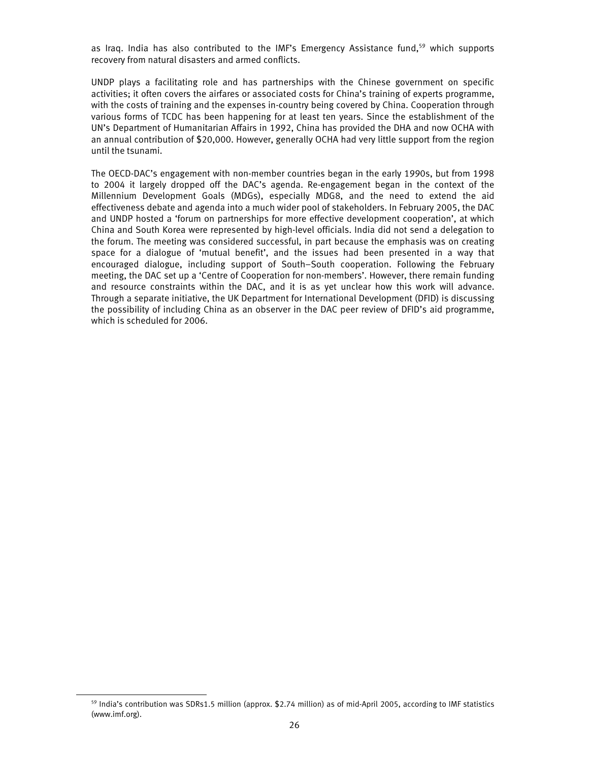as Iraq. India has also contributed to the IMF's Emergency Assistance fund,<sup>59</sup> which supports recovery from natural disasters and armed conflicts.

UNDP plays a facilitating role and has partnerships with the Chinese government on specific activities; it often covers the airfares or associated costs for China's training of experts programme, with the costs of training and the expenses in-country being covered by China. Cooperation through various forms of TCDC has been happening for at least ten years. Since the establishment of the UN's Department of Humanitarian Affairs in 1992, China has provided the DHA and now OCHA with an annual contribution of \$20,000. However, generally OCHA had very little support from the region until the tsunami.

The OECD-DAC's engagement with non-member countries began in the early 1990s, but from 1998 to 2004 it largely dropped off the DAC's agenda. Re-engagement began in the context of the Millennium Development Goals (MDGs), especially MDG8, and the need to extend the aid effectiveness debate and agenda into a much wider pool of stakeholders. In February 2005, the DAC and UNDP hosted a 'forum on partnerships for more effective development cooperation', at which China and South Korea were represented by high-level officials. India did not send a delegation to the forum. The meeting was considered successful, in part because the emphasis was on creating space for a dialogue of 'mutual benefit', and the issues had been presented in a way that encouraged dialogue, including support of South–South cooperation. Following the February meeting, the DAC set up a 'Centre of Cooperation for non-members'. However, there remain funding and resource constraints within the DAC, and it is as yet unclear how this work will advance. Through a separate initiative, the UK Department for International Development (DFID) is discussing the possibility of including China as an observer in the DAC peer review of DFID's aid programme, which is scheduled for 2006.

<sup>&</sup>lt;sup>59</sup> India's contribution was SDRs1.5 million (approx. \$2.74 million) as of mid-April 2005, according to IMF statistics (www.imf.org).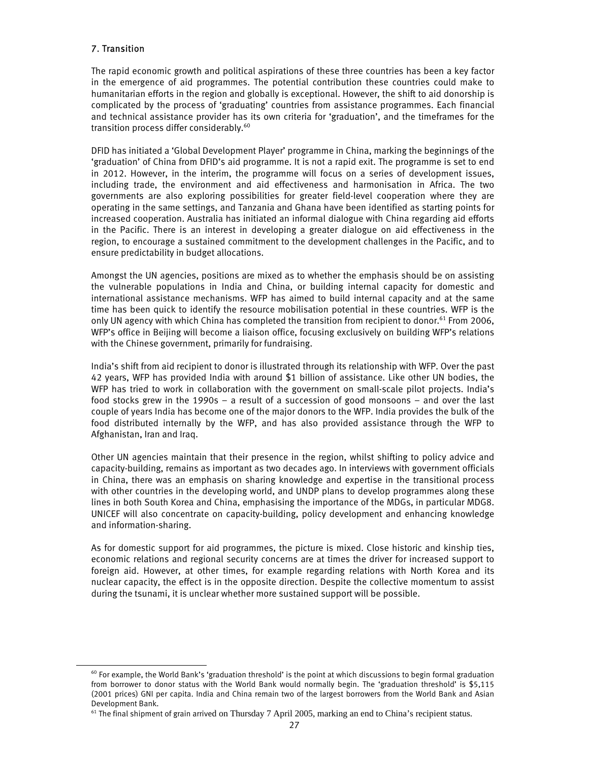# 7. Transition

l

The rapid economic growth and political aspirations of these three countries has been a key factor in the emergence of aid programmes. The potential contribution these countries could make to humanitarian efforts in the region and globally is exceptional. However, the shift to aid donorship is complicated by the process of 'graduating' countries from assistance programmes. Each financial and technical assistance provider has its own criteria for 'graduation', and the timeframes for the transition process differ considerably.<sup>60</sup>

DFID has initiated a 'Global Development Player' programme in China, marking the beginnings of the 'graduation' of China from DFID's aid programme. It is not a rapid exit. The programme is set to end in 2012. However, in the interim, the programme will focus on a series of development issues, including trade, the environment and aid effectiveness and harmonisation in Africa. The two governments are also exploring possibilities for greater field-level cooperation where they are operating in the same settings, and Tanzania and Ghana have been identified as starting points for increased cooperation. Australia has initiated an informal dialogue with China regarding aid efforts in the Pacific. There is an interest in developing a greater dialogue on aid effectiveness in the region, to encourage a sustained commitment to the development challenges in the Pacific, and to ensure predictability in budget allocations.

Amongst the UN agencies, positions are mixed as to whether the emphasis should be on assisting the vulnerable populations in India and China, or building internal capacity for domestic and international assistance mechanisms. WFP has aimed to build internal capacity and at the same time has been quick to identify the resource mobilisation potential in these countries. WFP is the only UN agency with which China has completed the transition from recipient to donor.<sup>61</sup> From 2006, WFP's office in Beijing will become a liaison office, focusing exclusively on building WFP's relations with the Chinese government, primarily for fundraising.

India's shift from aid recipient to donor is illustrated through its relationship with WFP. Over the past 42 years, WFP has provided India with around \$1 billion of assistance. Like other UN bodies, the WFP has tried to work in collaboration with the government on small-scale pilot projects. India's food stocks grew in the 1990s – a result of a succession of good monsoons – and over the last couple of years India has become one of the major donors to the WFP. India provides the bulk of the food distributed internally by the WFP, and has also provided assistance through the WFP to Afghanistan, Iran and Iraq.

Other UN agencies maintain that their presence in the region, whilst shifting to policy advice and capacity-building, remains as important as two decades ago. In interviews with government officials in China, there was an emphasis on sharing knowledge and expertise in the transitional process with other countries in the developing world, and UNDP plans to develop programmes along these lines in both South Korea and China, emphasising the importance of the MDGs, in particular MDG8. UNICEF will also concentrate on capacity-building, policy development and enhancing knowledge and information-sharing.

As for domestic support for aid programmes, the picture is mixed. Close historic and kinship ties, economic relations and regional security concerns are at times the driver for increased support to foreign aid. However, at other times, for example regarding relations with North Korea and its nuclear capacity, the effect is in the opposite direction. Despite the collective momentum to assist during the tsunami, it is unclear whether more sustained support will be possible.

 $60$  For example, the World Bank's 'graduation threshold' is the point at which discussions to begin formal graduation from borrower to donor status with the World Bank would normally begin. The 'graduation threshold' is \$5,115 (2001 prices) GNI per capita. India and China remain two of the largest borrowers from the World Bank and Asian Development Bank.

 $61$  The final shipment of grain arrived on Thursday 7 April 2005, marking an end to China's recipient status.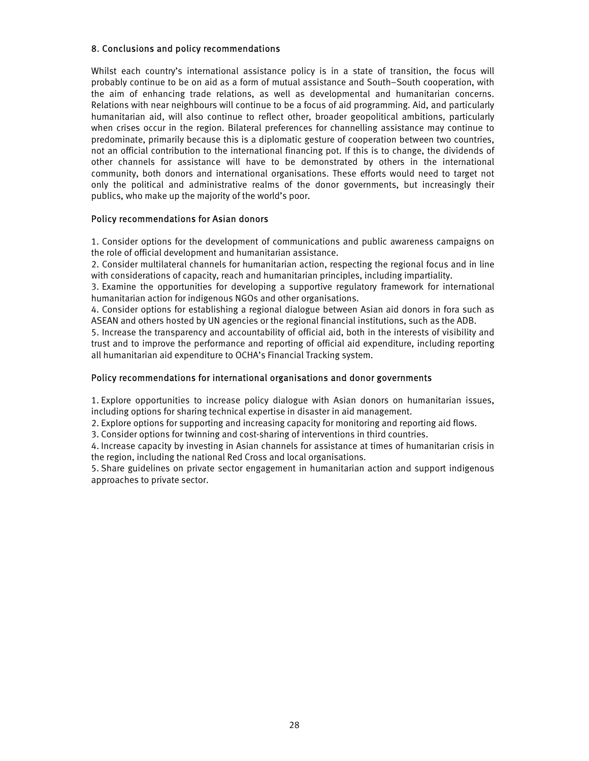# 8. Conclusions and policy recommendations

Whilst each country's international assistance policy is in a state of transition, the focus will probably continue to be on aid as a form of mutual assistance and South–South cooperation, with the aim of enhancing trade relations, as well as developmental and humanitarian concerns. Relations with near neighbours will continue to be a focus of aid programming. Aid, and particularly humanitarian aid, will also continue to reflect other, broader geopolitical ambitions, particularly when crises occur in the region. Bilateral preferences for channelling assistance may continue to predominate, primarily because this is a diplomatic gesture of cooperation between two countries, not an official contribution to the international financing pot. If this is to change, the dividends of other channels for assistance will have to be demonstrated by others in the international community, both donors and international organisations. These efforts would need to target not only the political and administrative realms of the donor governments, but increasingly their publics, who make up the majority of the world's poor.

# Policy recommendations for Asian donors

1. Consider options for the development of communications and public awareness campaigns on the role of official development and humanitarian assistance.

2. Consider multilateral channels for humanitarian action, respecting the regional focus and in line with considerations of capacity, reach and humanitarian principles, including impartiality.

3. Examine the opportunities for developing a supportive regulatory framework for international humanitarian action for indigenous NGOs and other organisations.

4. Consider options for establishing a regional dialogue between Asian aid donors in fora such as ASEAN and others hosted by UN agencies or the regional financial institutions, such as the ADB.

5. Increase the transparency and accountability of official aid, both in the interests of visibility and trust and to improve the performance and reporting of official aid expenditure, including reporting all humanitarian aid expenditure to OCHA's Financial Tracking system.

# Policy recommendations for international organisations and donor governments

1. Explore opportunities to increase policy dialogue with Asian donors on humanitarian issues, including options for sharing technical expertise in disaster in aid management.

2. Explore options for supporting and increasing capacity for monitoring and reporting aid flows.

3. Consider options for twinning and cost-sharing of interventions in third countries.

4. Increase capacity by investing in Asian channels for assistance at times of humanitarian crisis in the region, including the national Red Cross and local organisations.

5. Share guidelines on private sector engagement in humanitarian action and support indigenous approaches to private sector.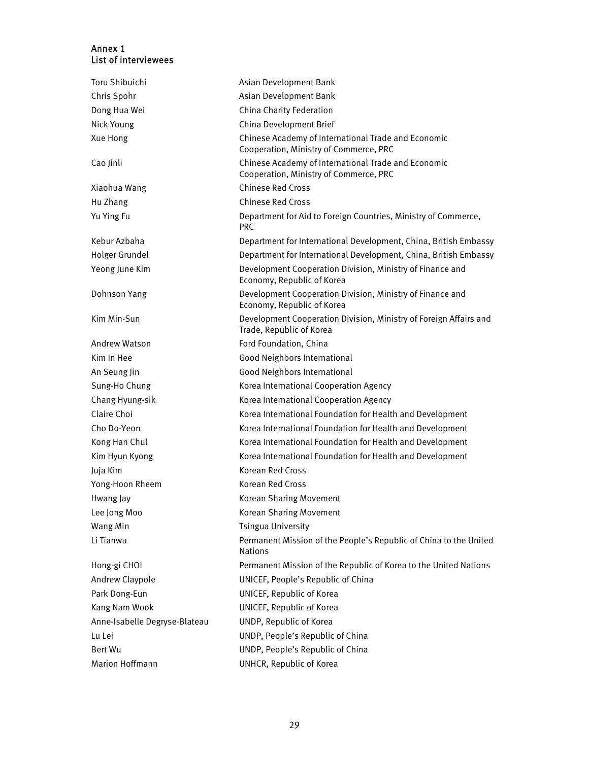# Annex 1 List of interviewees

| Toru Shibuichi                | Asian Development Bank                                                                        |
|-------------------------------|-----------------------------------------------------------------------------------------------|
| Chris Spohr                   | Asian Development Bank                                                                        |
| Dong Hua Wei                  | China Charity Federation                                                                      |
| Nick Young                    | China Development Brief                                                                       |
| Xue Hong                      | Chinese Academy of International Trade and Economic<br>Cooperation, Ministry of Commerce, PRC |
| Cao Jinli                     | Chinese Academy of International Trade and Economic<br>Cooperation, Ministry of Commerce, PRC |
| Xiaohua Wang                  | Chinese Red Cross                                                                             |
| Hu Zhang                      | <b>Chinese Red Cross</b>                                                                      |
| Yu Ying Fu                    | Department for Aid to Foreign Countries, Ministry of Commerce,<br><b>PRC</b>                  |
| Kebur Azbaha                  | Department for International Development, China, British Embassy                              |
| Holger Grundel                | Department for International Development, China, British Embassy                              |
| Yeong June Kim                | Development Cooperation Division, Ministry of Finance and<br>Economy, Republic of Korea       |
| Dohnson Yang                  | Development Cooperation Division, Ministry of Finance and<br>Economy, Republic of Korea       |
| Kim Min-Sun                   | Development Cooperation Division, Ministry of Foreign Affairs and<br>Trade, Republic of Korea |
| <b>Andrew Watson</b>          | Ford Foundation, China                                                                        |
| Kim In Hee                    | Good Neighbors International                                                                  |
| An Seung Jin                  | Good Neighbors International                                                                  |
| Sung-Ho Chung                 | Korea International Cooperation Agency                                                        |
| Chang Hyung-sik               | Korea International Cooperation Agency                                                        |
| Claire Choi                   | Korea International Foundation for Health and Development                                     |
| Cho Do-Yeon                   | Korea International Foundation for Health and Development                                     |
| Kong Han Chul                 | Korea International Foundation for Health and Development                                     |
| Kim Hyun Kyong                | Korea International Foundation for Health and Development                                     |
| Juja Kim                      | <b>Korean Red Cross</b>                                                                       |
| Yong-Hoon Rheem               | <b>Korean Red Cross</b>                                                                       |
| Hwang Jay                     | Korean Sharing Movement                                                                       |
| Lee Jong Moo                  | Korean Sharing Movement                                                                       |
| Wang Min                      | <b>Tsingua University</b>                                                                     |
| Li Tianwu                     | Permanent Mission of the People's Republic of China to the United<br><b>Nations</b>           |
| Hong-gi CHOI                  | Permanent Mission of the Republic of Korea to the United Nations                              |
| Andrew Claypole               | UNICEF, People's Republic of China                                                            |
| Park Dong-Eun                 | UNICEF, Republic of Korea                                                                     |
| Kang Nam Wook                 | UNICEF, Republic of Korea                                                                     |
| Anne-Isabelle Degryse-Blateau | UNDP, Republic of Korea                                                                       |
| Lu Lei                        | UNDP, People's Republic of China                                                              |
| Bert Wu                       | UNDP, People's Republic of China                                                              |
| Marion Hoffmann               | UNHCR, Republic of Korea                                                                      |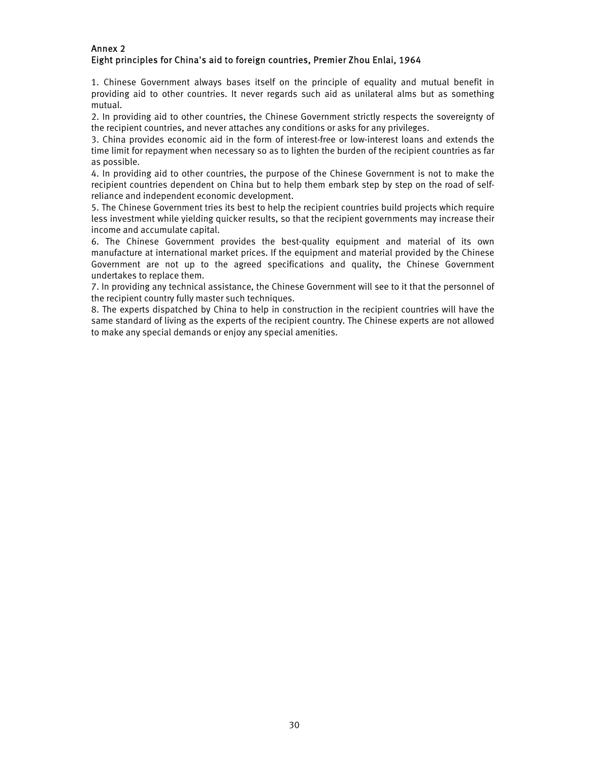# Annex 2 Eight principles for China's aid to foreign countries, Premier Zhou Enlai, 1964

1. Chinese Government always bases itself on the principle of equality and mutual benefit in providing aid to other countries. It never regards such aid as unilateral alms but as something mutual.

2. In providing aid to other countries, the Chinese Government strictly respects the sovereignty of the recipient countries, and never attaches any conditions or asks for any privileges.

3. China provides economic aid in the form of interest-free or low-interest loans and extends the time limit for repayment when necessary so as to lighten the burden of the recipient countries as far as possible.

4. In providing aid to other countries, the purpose of the Chinese Government is not to make the recipient countries dependent on China but to help them embark step by step on the road of selfreliance and independent economic development.

5. The Chinese Government tries its best to help the recipient countries build projects which require less investment while yielding quicker results, so that the recipient governments may increase their income and accumulate capital.

6. The Chinese Government provides the best-quality equipment and material of its own manufacture at international market prices. If the equipment and material provided by the Chinese Government are not up to the agreed specifications and quality, the Chinese Government undertakes to replace them.

7. In providing any technical assistance, the Chinese Government will see to it that the personnel of the recipient country fully master such techniques.

8. The experts dispatched by China to help in construction in the recipient countries will have the same standard of living as the experts of the recipient country. The Chinese experts are not allowed to make any special demands or enjoy any special amenities.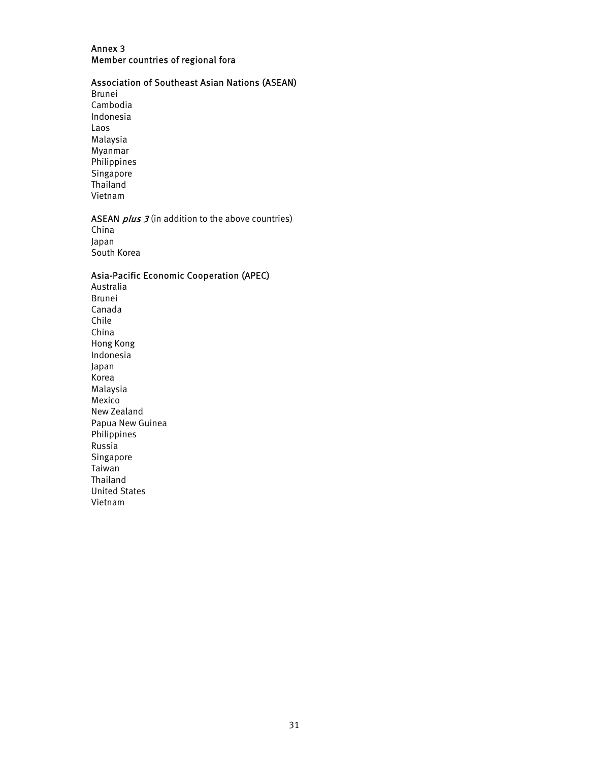# Annex 3 Member countries of regional fora

# Association of Southeast Asian Nations (ASEAN)

Brunei Cambodia Indonesia Laos Malaysia Myanmar Philippines Singapore Thailand Vietnam

# ASEAN  $plus 3$  (in addition to the above countries)

China Japan South Korea

# Asia-Pacific Economic Cooperation (APEC)

Australia Brunei Canada Chile China Hong Kong Indonesia Japan Korea Malaysia Mexico New Zealand Papua New Guinea Philippines Russia Singapore Taiwan Thailand United States Vietnam